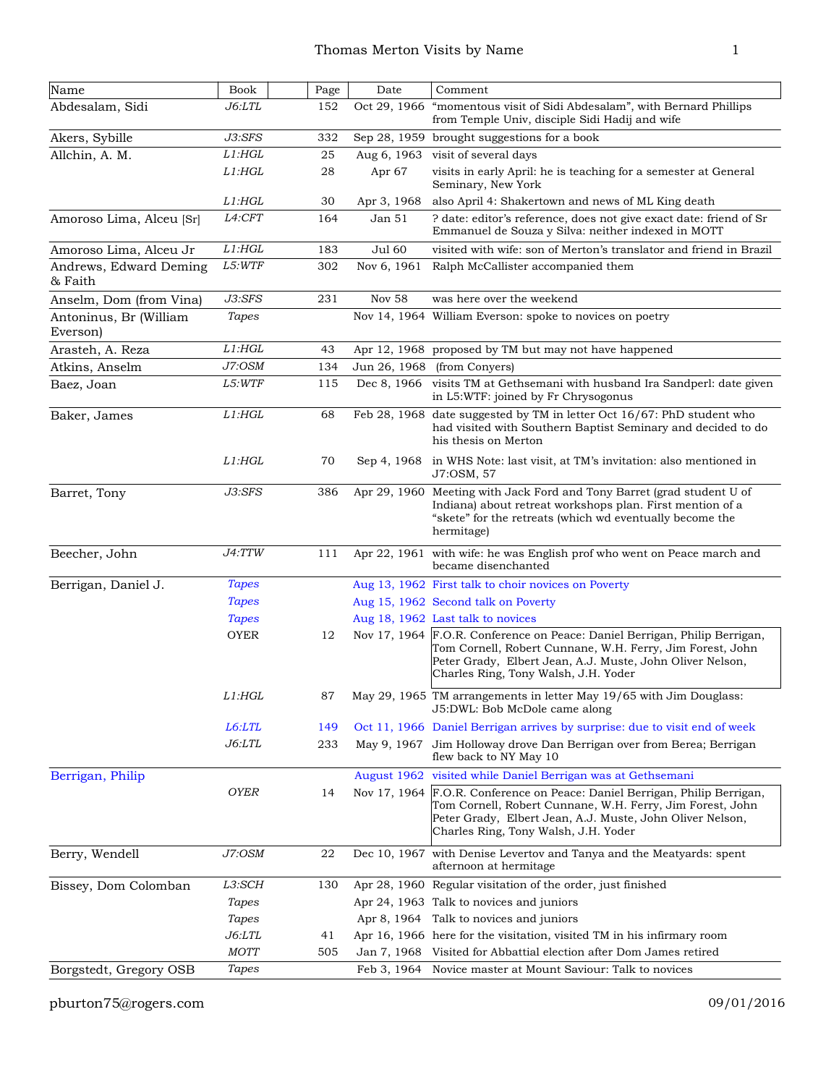| Name                               | <b>Book</b>   | Page | Date              | Comment                                                                                                                                                                                                                                      |
|------------------------------------|---------------|------|-------------------|----------------------------------------------------------------------------------------------------------------------------------------------------------------------------------------------------------------------------------------------|
| Abdesalam, Sidi                    | <i>J6:LTL</i> | 152  | Oct 29, 1966      | "momentous visit of Sidi Abdesalam", with Bernard Phillips<br>from Temple Univ, disciple Sidi Hadij and wife                                                                                                                                 |
| Akers, Sybille                     | $J3:$ SFS     | 332  |                   | Sep 28, 1959 brought suggestions for a book                                                                                                                                                                                                  |
| Allchin, A. M.                     | $L1:$ HGL     | 25   | Aug 6, 1963       | visit of several days                                                                                                                                                                                                                        |
|                                    | $L1:$ HGL     | 28   | Apr <sub>67</sub> | visits in early April: he is teaching for a semester at General<br>Seminary, New York                                                                                                                                                        |
|                                    | $L1:$ HGL     | 30   | Apr 3, 1968       | also April 4: Shakertown and news of ML King death                                                                                                                                                                                           |
| Amoroso Lima, Alceu [Sr]           | L4:CFT        | 164  | Jan 51            | ? date: editor's reference, does not give exact date: friend of Sr<br>Emmanuel de Souza y Silva: neither indexed in MOTT                                                                                                                     |
| Amoroso Lima, Alceu Jr             | $L1:$ HGL     | 183  | <b>Jul 60</b>     | visited with wife: son of Merton's translator and friend in Brazil                                                                                                                                                                           |
| Andrews, Edward Deming<br>& Faith  | L5:WTF        | 302  | Nov 6, 1961       | Ralph McCallister accompanied them                                                                                                                                                                                                           |
| Anselm, Dom (from Vina)            | J3:SFS        | 231  | <b>Nov 58</b>     | was here over the weekend                                                                                                                                                                                                                    |
| Antoninus, Br (William<br>Everson) | Tapes         |      |                   | Nov 14, 1964 William Everson: spoke to novices on poetry                                                                                                                                                                                     |
| Arasteh, A. Reza                   | $L1:$ HGL     | 43   |                   | Apr 12, 1968 proposed by TM but may not have happened                                                                                                                                                                                        |
| Atkins, Anselm                     | J7:OSM        | 134  | Jun 26, 1968      | (from Conyers)                                                                                                                                                                                                                               |
| Baez, Joan                         | L5:WTF        | 115  |                   | Dec 8, 1966 visits TM at Gethsemani with husband Ira Sandperl: date given<br>in L5:WTF: joined by Fr Chrysogonus                                                                                                                             |
| Baker, James                       | $L1:$ HGL     | 68   |                   | Feb 28, 1968 date suggested by TM in letter Oct 16/67: PhD student who<br>had visited with Southern Baptist Seminary and decided to do<br>his thesis on Merton                                                                               |
|                                    | $L1:$ HGL     | 70   | Sep 4, 1968       | in WHS Note: last visit, at TM's invitation: also mentioned in<br>J7:OSM, 57                                                                                                                                                                 |
| Barret, Tony                       | J3:SFS        | 386  | Apr 29, 1960      | Meeting with Jack Ford and Tony Barret (grad student U of<br>Indiana) about retreat workshops plan. First mention of a<br>"skete" for the retreats (which wd eventually become the<br>hermitage)                                             |
| Beecher, John                      | J4:TTW        | 111  | Apr 22, 1961      | with wife: he was English prof who went on Peace march and<br>became disenchanted                                                                                                                                                            |
| Berrigan, Daniel J.                | <b>Tapes</b>  |      |                   | Aug 13, 1962 First talk to choir novices on Poverty                                                                                                                                                                                          |
|                                    | <b>Tapes</b>  |      |                   | Aug 15, 1962 Second talk on Poverty                                                                                                                                                                                                          |
|                                    | <b>Tapes</b>  |      |                   | Aug 18, 1962 Last talk to novices                                                                                                                                                                                                            |
|                                    | <b>OYER</b>   | 12   |                   | Nov 17, 1964 F.O.R. Conference on Peace: Daniel Berrigan, Philip Berrigan,<br>Tom Cornell, Robert Cunnane, W.H. Ferry, Jim Forest, John<br>Peter Grady, Elbert Jean, A.J. Muste, John Oliver Nelson,<br>Charles Ring, Tony Walsh, J.H. Yoder |
|                                    | $L1:$ $HGL$   | 87   |                   | May 29, 1965 TM arrangements in letter May 19/65 with Jim Douglass:<br>J5:DWL: Bob McDole came along                                                                                                                                         |
|                                    | L6:LTL        | 149  |                   | Oct 11, 1966 Daniel Berrigan arrives by surprise: due to visit end of week                                                                                                                                                                   |
|                                    | J6:LTL        | 233  |                   | May 9, 1967 Jim Holloway drove Dan Berrigan over from Berea; Berrigan<br>flew back to NY May 10                                                                                                                                              |
| Berrigan, Philip                   |               |      |                   | August 1962 visited while Daniel Berrigan was at Gethsemani                                                                                                                                                                                  |
|                                    | <b>OYER</b>   | 14   | Nov 17, 1964      | F.O.R. Conference on Peace: Daniel Berrigan, Philip Berrigan,<br>Tom Cornell, Robert Cunnane, W.H. Ferry, Jim Forest, John<br>Peter Grady, Elbert Jean, A.J. Muste, John Oliver Nelson,<br>Charles Ring, Tony Walsh, J.H. Yoder              |
| Berry, Wendell                     | J7:OSM        | 22   |                   | Dec 10, 1967 with Denise Levertov and Tanya and the Meatyards: spent<br>afternoon at hermitage                                                                                                                                               |
| Bissey, Dom Colomban               | L3:SCH        | 130  |                   | Apr 28, 1960 Regular visitation of the order, just finished                                                                                                                                                                                  |
|                                    | Tapes         |      |                   | Apr 24, 1963 Talk to novices and juniors                                                                                                                                                                                                     |
|                                    | <b>Tapes</b>  |      |                   | Apr 8, 1964 Talk to novices and juniors                                                                                                                                                                                                      |
|                                    | J6:LTL        | 41   |                   | Apr 16, 1966 here for the visitation, visited TM in his infirmary room                                                                                                                                                                       |
|                                    | MOTT          | 505  | Jan 7, 1968       | Visited for Abbattial election after Dom James retired                                                                                                                                                                                       |
| Borgstedt, Gregory OSB             | Tapes         |      | Feb 3, 1964       | Novice master at Mount Saviour: Talk to novices                                                                                                                                                                                              |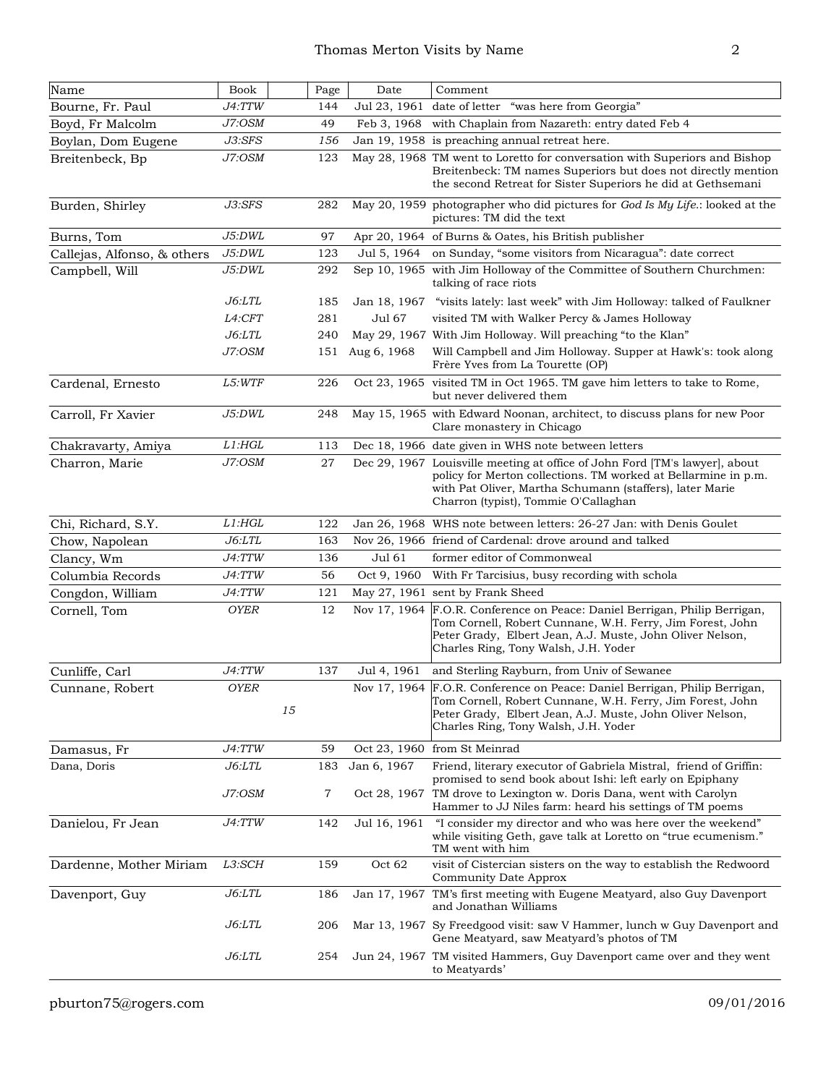| Name                        | <b>Book</b>       |    | Page        | Date         | Comment                                                                                                                                                                                                                                                         |
|-----------------------------|-------------------|----|-------------|--------------|-----------------------------------------------------------------------------------------------------------------------------------------------------------------------------------------------------------------------------------------------------------------|
| Bourne, Fr. Paul            | J4:TTW            |    | 144         |              | Jul 23, 1961 date of letter "was here from Georgia"                                                                                                                                                                                                             |
| Boyd, Fr Malcolm            | J7:OSM            |    | 49          | Feb 3, 1968  | with Chaplain from Nazareth: entry dated Feb 4                                                                                                                                                                                                                  |
| Boylan, Dom Eugene          | J3:SFS            |    | 156         |              | Jan 19, 1958 is preaching annual retreat here.                                                                                                                                                                                                                  |
| Breitenbeck, Bp             | J7:OSM            |    | 123         |              | May 28, 1968 TM went to Loretto for conversation with Superiors and Bishop<br>Breitenbeck: TM names Superiors but does not directly mention<br>the second Retreat for Sister Superiors he did at Gethsemani                                                     |
| Burden, Shirley             | J3:SFS            |    | 282         |              | May 20, 1959 photographer who did pictures for God Is My Life.: looked at the<br>pictures: TM did the text                                                                                                                                                      |
| Burns, Tom                  | J5:DWL            |    | 97          |              | Apr 20, 1964 of Burns & Oates, his British publisher                                                                                                                                                                                                            |
| Callejas, Alfonso, & others | J5:DWL            |    | 123         | Jul 5, 1964  | on Sunday, "some visitors from Nicaragua": date correct                                                                                                                                                                                                         |
| Campbell, Will              | J5:DWL            |    | 292         |              | Sep 10, 1965 with Jim Holloway of the Committee of Southern Churchmen:<br>talking of race riots                                                                                                                                                                 |
|                             | <i>J6:LTL</i>     |    | 185         | Jan 18, 1967 | "visits lately: last week" with Jim Holloway: talked of Faulkner                                                                                                                                                                                                |
|                             | L4:CFT            |    | 281         | Jul 67       | visited TM with Walker Percy & James Holloway                                                                                                                                                                                                                   |
|                             | <i>J6:LTL</i>     |    | 240         |              | May 29, 1967 With Jim Holloway. Will preaching "to the Klan"                                                                                                                                                                                                    |
|                             | J7:OSM            |    | 151         | Aug 6, 1968  | Will Campbell and Jim Holloway. Supper at Hawk's: took along<br>Frère Yves from La Tourette (OP)                                                                                                                                                                |
| Cardenal, Ernesto           | L5:WTF            |    | 226         |              | Oct 23, 1965 visited TM in Oct 1965. TM gave him letters to take to Rome,<br>but never delivered them                                                                                                                                                           |
| Carroll, Fr Xavier          | J5:DWL            |    | 248         |              | May 15, 1965 with Edward Noonan, architect, to discuss plans for new Poor<br>Clare monastery in Chicago                                                                                                                                                         |
| Chakravarty, Amiya          | $L1:$ HGL         |    | 113         |              | Dec 18, 1966 date given in WHS note between letters                                                                                                                                                                                                             |
| Charron, Marie              | J7:OSM            |    | $\sqrt{27}$ |              | Dec 29, 1967 Louisville meeting at office of John Ford [TM's lawyer], about<br>policy for Merton collections. TM worked at Bellarmine in p.m.<br>with Pat Oliver, Martha Schumann (staffers), later Marie<br>Charron (typist), Tommie O'Callaghan               |
| Chi, Richard, S.Y.          | $L1:$ HGL         |    | 122         |              | Jan 26, 1968 WHS note between letters: 26-27 Jan: with Denis Goulet                                                                                                                                                                                             |
| Chow, Napolean              | J6: LTL           |    | 163         |              | Nov 26, 1966 friend of Cardenal: drove around and talked                                                                                                                                                                                                        |
| Clancy, Wm                  | J4:TTW            |    | 136         | Jul 61       | former editor of Commonweal                                                                                                                                                                                                                                     |
| Columbia Records            | J4:TTW            |    | 56          | Oct 9, 1960  | With Fr Tarcisius, busy recording with schola                                                                                                                                                                                                                   |
| Congdon, William            | J4:TTW            |    | 121         |              | May 27, 1961 sent by Frank Sheed                                                                                                                                                                                                                                |
| Cornell, Tom                | <b>OYER</b>       |    | 12          | Nov 17, 1964 | F.O.R. Conference on Peace: Daniel Berrigan, Philip Berrigan,<br>Tom Cornell, Robert Cunnane, W.H. Ferry, Jim Forest, John<br>Peter Grady, Elbert Jean, A.J. Muste, John Oliver Nelson,<br>Charles Ring, Tony Walsh, J.H. Yoder                                 |
| Cunliffe, Carl              | <i>J4:TTW</i>     |    | 137         | Jul 4, 1961  | and Sterling Rayburn, from Univ of Sewanee                                                                                                                                                                                                                      |
| Cunnane, Robert             | <b>OYER</b>       | 15 |             |              | Nov 17, 1964 F.O.R. Conference on Peace: Daniel Berrigan, Philip Berrigan,<br>Tom Cornell, Robert Cunnane, W.H. Ferry, Jim Forest, John<br>Peter Grady, Elbert Jean, A.J. Muste, John Oliver Nelson,<br>Charles Ring, Tony Walsh, J.H. Yoder                    |
| Damasus, Fr                 | J4:TTW            |    | 59          |              | Oct 23, 1960 from St Meinrad                                                                                                                                                                                                                                    |
| Dana, Doris                 | J6: LTL<br>J7:OSM |    | 183<br>7    | Jan 6, 1967  | Friend, literary executor of Gabriela Mistral, friend of Griffin:<br>promised to send book about Ishi: left early on Epiphany<br>Oct 28, 1967 TM drove to Lexington w. Doris Dana, went with Carolyn<br>Hammer to JJ Niles farm: heard his settings of TM poems |
| Danielou, Fr Jean           | J4:TTW            |    | 142         | Jul 16, 1961 | "I consider my director and who was here over the weekend"<br>while visiting Geth, gave talk at Loretto on "true ecumenism."<br>TM went with him                                                                                                                |
| Dardenne, Mother Miriam     | L3:SCH            |    | 159         | Oct 62       | visit of Cistercian sisters on the way to establish the Redwoord<br>Community Date Approx                                                                                                                                                                       |
| Davenport, Guy              | J6: LTL           |    | 186         |              | Jan 17, 1967 TM's first meeting with Eugene Meatyard, also Guy Davenport<br>and Jonathan Williams                                                                                                                                                               |
|                             | <i>J6:LTL</i>     |    | 206         |              | Mar 13, 1967 Sy Freedgood visit: saw V Hammer, lunch w Guy Davenport and<br>Gene Meatyard, saw Meatyard's photos of TM                                                                                                                                          |
|                             | J6:LTL            |    | 254         |              | Jun 24, 1967 TM visited Hammers, Guy Davenport came over and they went<br>to Meatyards'                                                                                                                                                                         |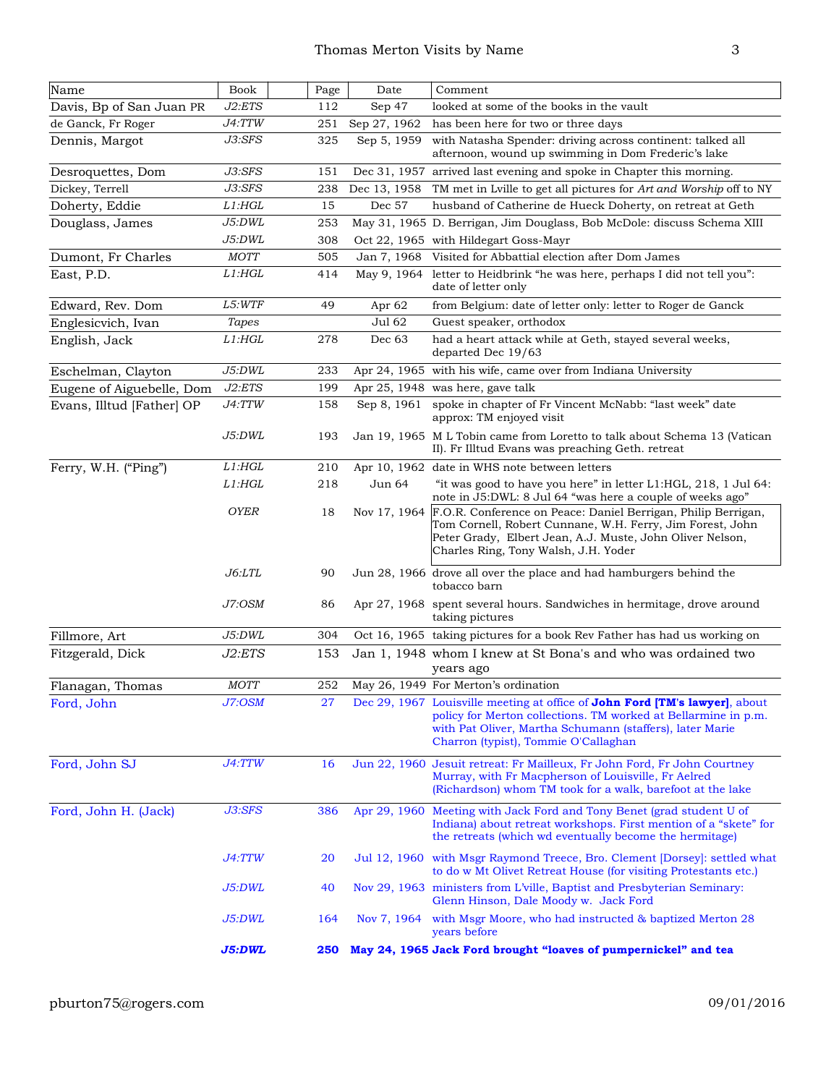| Name                      | Book                 | Page | Date         | Comment                                                                                                                                                                                                                                                   |
|---------------------------|----------------------|------|--------------|-----------------------------------------------------------------------------------------------------------------------------------------------------------------------------------------------------------------------------------------------------------|
| Davis, Bp of San Juan PR  | J2:ETS               | 112  | Sep 47       | looked at some of the books in the vault                                                                                                                                                                                                                  |
| de Ganck, Fr Roger        | J4:TTW               | 251  | Sep 27, 1962 | has been here for two or three days                                                                                                                                                                                                                       |
| Dennis, Margot            | J3:SFS               | 325  | Sep 5, 1959  | with Natasha Spender: driving across continent: talked all<br>afternoon, wound up swimming in Dom Frederic's lake                                                                                                                                         |
| Desroquettes, Dom         | J3:SFS               | 151  |              | Dec 31, 1957 arrived last evening and spoke in Chapter this morning.                                                                                                                                                                                      |
| Dickey, Terrell           | J3:SFS               | 238  | Dec 13, 1958 | TM met in Lville to get all pictures for Art and Worship off to NY                                                                                                                                                                                        |
| Doherty, Eddie            | $L1:$ HGL            | 15   | Dec 57       | husband of Catherine de Hueck Doherty, on retreat at Geth                                                                                                                                                                                                 |
| Douglass, James           | J5:DWL               | 253  |              | May 31, 1965 D. Berrigan, Jim Douglass, Bob McDole: discuss Schema XIII                                                                                                                                                                                   |
|                           | J5:DWL               | 308  |              | Oct 22, 1965 with Hildegart Goss-Mayr                                                                                                                                                                                                                     |
| Dumont, Fr Charles        | <b>MOTT</b>          | 505  | Jan 7, 1968  | Visited for Abbattial election after Dom James                                                                                                                                                                                                            |
| East, P.D.                | $L1:$ HGL            | 414  | May 9, 1964  | letter to Heidbrink "he was here, perhaps I did not tell you":<br>date of letter only                                                                                                                                                                     |
| Edward, Rev. Dom          | L5:WTF               | 49   | Apr 62       | from Belgium: date of letter only: letter to Roger de Ganck                                                                                                                                                                                               |
| Englesicvich, Ivan        | Tapes                |      | Jul 62       | Guest speaker, orthodox                                                                                                                                                                                                                                   |
| English, Jack             | $L1:$ HGL            | 278  | Dec 63       | had a heart attack while at Geth, stayed several weeks,<br>departed Dec 19/63                                                                                                                                                                             |
| Eschelman, Clayton        | J5:DWL               | 233  |              | Apr 24, 1965 with his wife, came over from Indiana University                                                                                                                                                                                             |
| Eugene of Aiguebelle, Dom | J2:ETS               | 199  |              | Apr 25, 1948 was here, gave talk                                                                                                                                                                                                                          |
| Evans, Illtud [Father] OP | J4:TTW               | 158  | Sep 8, 1961  | spoke in chapter of Fr Vincent McNabb: "last week" date<br>approx: TM enjoyed visit                                                                                                                                                                       |
|                           | J5:DWL               | 193  |              | Jan 19, 1965 M L Tobin came from Loretto to talk about Schema 13 (Vatican<br>II). Fr Illtud Evans was preaching Geth. retreat                                                                                                                             |
| Ferry, W.H. ("Ping")      | $L1:$ HGL            | 210  |              | Apr 10, 1962 date in WHS note between letters                                                                                                                                                                                                             |
|                           | L1: HGL              | 218  | Jun 64       | "it was good to have you here" in letter L1:HGL, 218, 1 Jul 64:<br>note in J5:DWL: 8 Jul 64 "was here a couple of weeks ago"                                                                                                                              |
|                           | <b>OYER</b>          | 18   |              | Nov 17, 1964 F.O.R. Conference on Peace: Daniel Berrigan, Philip Berrigan,<br>Tom Cornell, Robert Cunnane, W.H. Ferry, Jim Forest, John<br>Peter Grady, Elbert Jean, A.J. Muste, John Oliver Nelson,<br>Charles Ring, Tony Walsh, J.H. Yoder              |
|                           | <i>J6:LTL</i>        | 90   |              | Jun 28, 1966 drove all over the place and had hamburgers behind the<br>tobacco barn                                                                                                                                                                       |
|                           | J7:OSM               | 86   |              | Apr 27, 1968 spent several hours. Sandwiches in hermitage, drove around<br>taking pictures                                                                                                                                                                |
| Fillmore, Art             | J5:DWL               | 304  |              | Oct 16, 1965 taking pictures for a book Rev Father has had us working on                                                                                                                                                                                  |
| Fitzgerald, Dick          | J2:ETS               | 153  |              | Jan 1, 1948 whom I knew at St Bona's and who was ordained two<br>years ago                                                                                                                                                                                |
| Flanagan, Thomas          | <b>MOTT</b>          | 252  |              | May 26, 1949 For Merton's ordination                                                                                                                                                                                                                      |
| Ford, John                | J7:OSM               | 27   |              | Dec 29, 1967 Louisville meeting at office of <b>John Ford [TM's lawyer</b> ], about<br>policy for Merton collections. TM worked at Bellarmine in p.m.<br>with Pat Oliver, Martha Schumann (staffers), later Marie<br>Charron (typist), Tommie O'Callaghan |
| Ford, John SJ             | J4:TTW               | 16   |              | Jun 22, 1960 Jesuit retreat: Fr Mailleux, Fr John Ford, Fr John Courtney<br>Murray, with Fr Macpherson of Louisville, Fr Aelred<br>(Richardson) whom TM took for a walk, barefoot at the lake                                                             |
| Ford, John H. (Jack)      | J3:SFS               | 386  |              | Apr 29, 1960 Meeting with Jack Ford and Tony Benet (grad student U of<br>Indiana) about retreat workshops. First mention of a "skete" for<br>the retreats (which wd eventually become the hermitage)                                                      |
|                           | <i><b>J4:TTW</b></i> | 20   |              | Jul 12, 1960 with Msgr Raymond Treece, Bro. Clement [Dorsey]: settled what<br>to do w Mt Olivet Retreat House (for visiting Protestants etc.)                                                                                                             |
|                           | J5:DWL               | 40   |              | Nov 29, 1963 ministers from L'ville, Baptist and Presbyterian Seminary:<br>Glenn Hinson, Dale Moody w. Jack Ford                                                                                                                                          |
|                           | J5:DWL               | 164  | Nov 7, 1964  | with Msgr Moore, who had instructed & baptized Merton 28<br>years before                                                                                                                                                                                  |
|                           | J5:DWL               | 250  |              | May 24, 1965 Jack Ford brought "loaves of pumpernickel" and tea                                                                                                                                                                                           |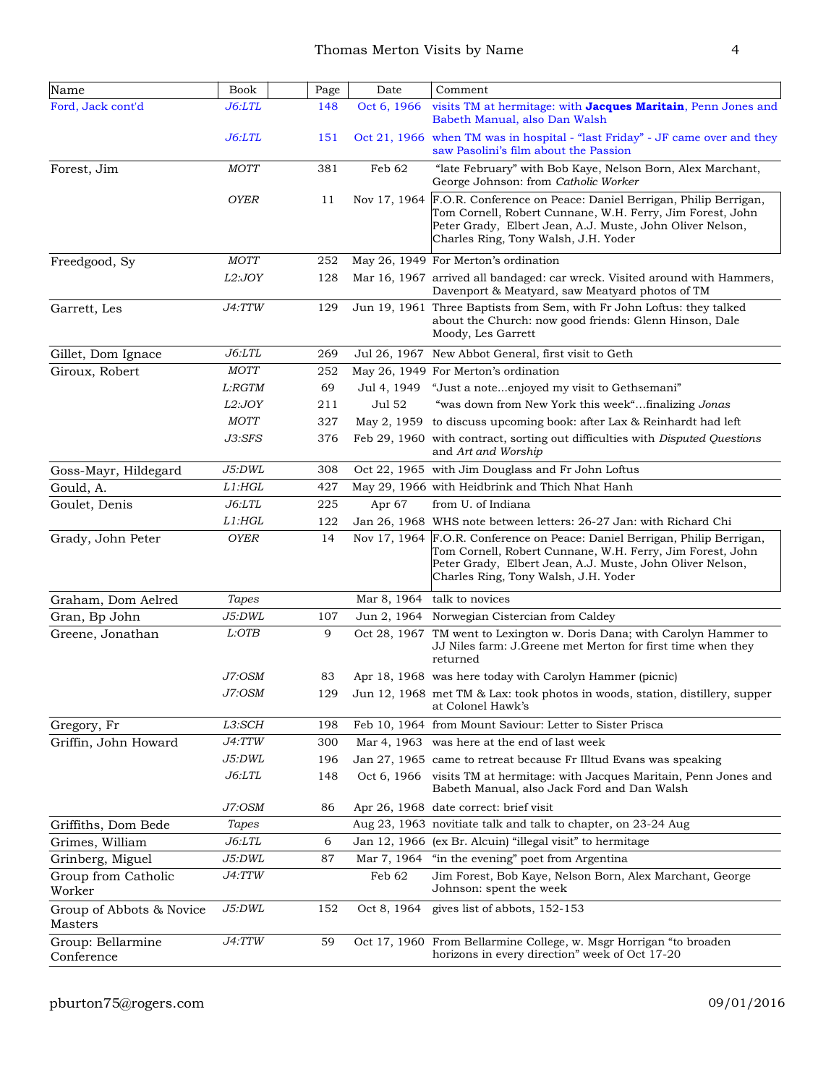| Name                                | <b>Book</b>          | Page | Date         | Comment                                                                                                                                                                                                                                      |
|-------------------------------------|----------------------|------|--------------|----------------------------------------------------------------------------------------------------------------------------------------------------------------------------------------------------------------------------------------------|
| Ford, Jack cont'd                   | <i><b>J6:LTL</b></i> | 148  | Oct 6, 1966  | visits TM at hermitage: with Jacques Maritain, Penn Jones and<br>Babeth Manual, also Dan Walsh                                                                                                                                               |
|                                     | J6:LTL               | 151  |              | Oct 21, 1966 when TM was in hospital - "last Friday" - JF came over and they<br>saw Pasolini's film about the Passion                                                                                                                        |
| Forest, Jim                         | <b>MOTT</b>          | 381  | Feb 62       | "late February" with Bob Kaye, Nelson Born, Alex Marchant,<br>George Johnson: from Catholic Worker                                                                                                                                           |
|                                     | <b>OYER</b>          | 11   |              | Nov 17, 1964 F.O.R. Conference on Peace: Daniel Berrigan, Philip Berrigan,<br>Tom Cornell, Robert Cunnane, W.H. Ferry, Jim Forest, John<br>Peter Grady, Elbert Jean, A.J. Muste, John Oliver Nelson,<br>Charles Ring, Tony Walsh, J.H. Yoder |
| Freedgood, Sy                       | <b>MOTT</b>          | 252  |              | May 26, 1949 For Merton's ordination                                                                                                                                                                                                         |
|                                     | L2:JOY               | 128  |              | Mar 16, 1967 arrived all bandaged: car wreck. Visited around with Hammers,<br>Davenport & Meatyard, saw Meatyard photos of TM                                                                                                                |
| Garrett, Les                        | J4:TTW               | 129  |              | Jun 19, 1961 Three Baptists from Sem, with Fr John Loftus: they talked<br>about the Church: now good friends: Glenn Hinson, Dale<br>Moody, Les Garrett                                                                                       |
| Gillet, Dom Ignace                  | J6:LTL               | 269  |              | Jul 26, 1967 New Abbot General, first visit to Geth                                                                                                                                                                                          |
| Giroux, Robert                      | $MOTT$               | 252  |              | May 26, 1949 For Merton's ordination                                                                                                                                                                                                         |
|                                     | L:RGTM               | 69   | Jul 4, 1949  | "Just a noteenjoyed my visit to Gethsemani"                                                                                                                                                                                                  |
|                                     | L2:JOY               | 211  | Jul 52       | "was down from New York this week"finalizing Jonas                                                                                                                                                                                           |
|                                     | <b>MOTT</b>          | 327  | May 2, 1959  | to discuss upcoming book: after Lax & Reinhardt had left                                                                                                                                                                                     |
|                                     | J3:SFS               | 376  |              | Feb 29, 1960 with contract, sorting out difficulties with Disputed Questions<br>and Art and Worship                                                                                                                                          |
| Goss-Mayr, Hildegard                | J5:DWL               | 308  |              | Oct 22, 1965 with Jim Douglass and Fr John Loftus                                                                                                                                                                                            |
| Gould, A.                           | $L1:$ HGL            | 427  |              | May 29, 1966 with Heidbrink and Thich Nhat Hanh                                                                                                                                                                                              |
| Goulet, Denis                       | J6: LTL              | 225  | Apr 67       | from U. of Indiana                                                                                                                                                                                                                           |
|                                     | $L1:$ HGL            | 122  |              | Jan 26, 1968 WHS note between letters: 26-27 Jan: with Richard Chi                                                                                                                                                                           |
| Grady, John Peter                   | <b>OYER</b>          | 14   | Nov 17, 1964 | F.O.R. Conference on Peace: Daniel Berrigan, Philip Berrigan,<br>Tom Cornell, Robert Cunnane, W.H. Ferry, Jim Forest, John<br>Peter Grady, Elbert Jean, A.J. Muste, John Oliver Nelson,<br>Charles Ring, Tony Walsh, J.H. Yoder              |
| Graham, Dom Aelred                  | Tapes                |      | Mar 8, 1964  | talk to novices                                                                                                                                                                                                                              |
| Gran, Bp John                       | J5:DWL               | 107  |              | Jun 2, 1964 Norwegian Cistercian from Caldey                                                                                                                                                                                                 |
| Greene, Jonathan                    | L:OTB                | 9    |              | Oct 28, 1967 TM went to Lexington w. Doris Dana; with Carolyn Hammer to<br>JJ Niles farm: J. Greene met Merton for first time when they<br>returned                                                                                          |
|                                     | J7:OSM               | 83   |              | Apr 18, 1968 was here today with Carolyn Hammer (picnic)                                                                                                                                                                                     |
|                                     | J7:OSM               |      |              | 129 Jun 12, 1968 met TM & Lax: took photos in woods, station, distillery, supper<br>at Colonel Hawk's                                                                                                                                        |
| Gregory, Fr                         | L3:SCH               | 198  |              | Feb 10, 1964 from Mount Saviour: Letter to Sister Prisca                                                                                                                                                                                     |
| Griffin, John Howard                | J4:TTW               | 300  |              | Mar 4, 1963 was here at the end of last week                                                                                                                                                                                                 |
|                                     | J5:DWL               | 196  |              | Jan 27, 1965 came to retreat because Fr Illtud Evans was speaking                                                                                                                                                                            |
|                                     | <i>J6:LTL</i>        | 148  |              | Oct 6, 1966 visits TM at hermitage: with Jacques Maritain, Penn Jones and<br>Babeth Manual, also Jack Ford and Dan Walsh                                                                                                                     |
|                                     | J7:OSM               | 86   |              | Apr 26, 1968 date correct: brief visit                                                                                                                                                                                                       |
| Griffiths, Dom Bede                 | <b>Tapes</b>         |      |              | Aug 23, 1963 novitiate talk and talk to chapter, on 23-24 Aug                                                                                                                                                                                |
| Grimes, William                     | J6: LTL              | 6    |              | Jan 12, 1966 (ex Br. Alcuin) "illegal visit" to hermitage                                                                                                                                                                                    |
| Grinberg, Miguel                    | J5:DWL               | 87   | Mar 7, 1964  | "in the evening" poet from Argentina                                                                                                                                                                                                         |
| Group from Catholic<br>Worker       | <i>J4:TTW</i>        |      | Feb 62       | Jim Forest, Bob Kaye, Nelson Born, Alex Marchant, George<br>Johnson: spent the week                                                                                                                                                          |
| Group of Abbots & Novice<br>Masters | J5:DWL               | 152  | Oct 8, 1964  | gives list of abbots, 152-153                                                                                                                                                                                                                |
| Group: Bellarmine<br>Conference     | J4:TTW               | 59   |              | Oct 17, 1960 From Bellarmine College, w. Msgr Horrigan "to broaden<br>horizons in every direction" week of Oct 17-20                                                                                                                         |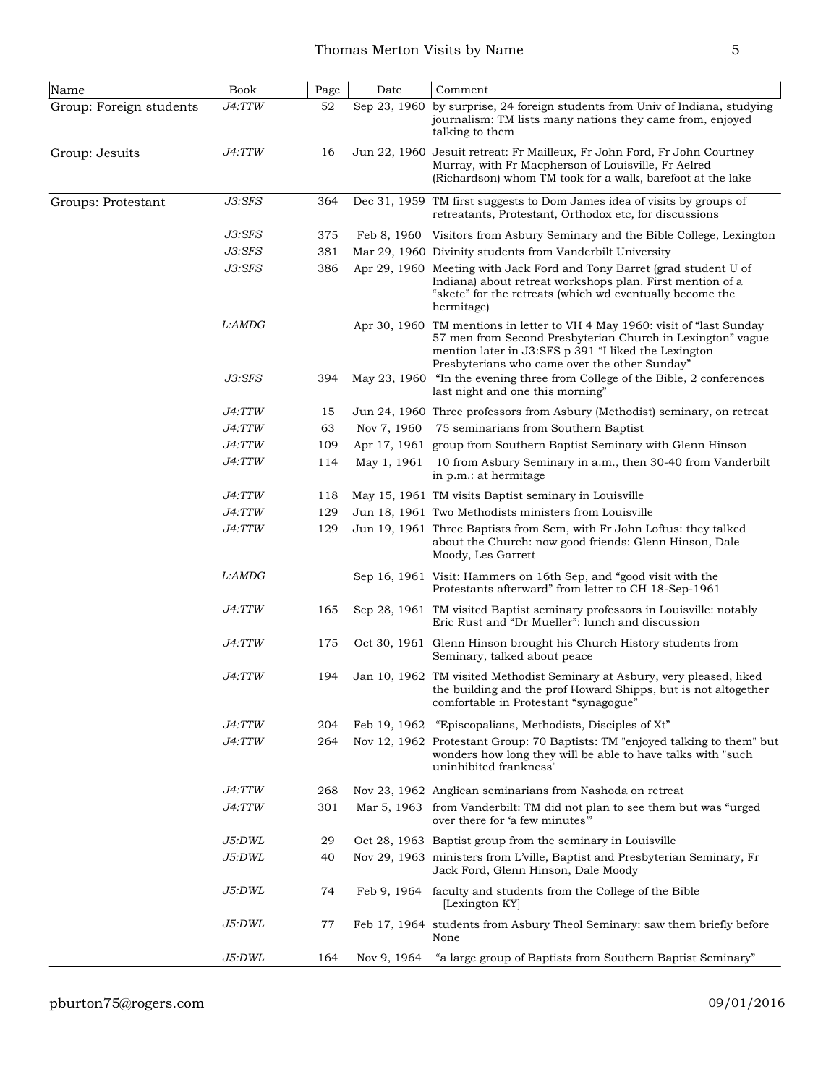| Name                    | Book          | Page | Date        | Comment                                                                                                                                                                                                                                            |
|-------------------------|---------------|------|-------------|----------------------------------------------------------------------------------------------------------------------------------------------------------------------------------------------------------------------------------------------------|
| Group: Foreign students | J4:TTW        | 52   |             | Sep 23, 1960 by surprise, 24 foreign students from Univ of Indiana, studying<br>journalism: TM lists many nations they came from, enjoyed<br>talking to them                                                                                       |
| Group: Jesuits          | J4:TTW        | 16   |             | Jun 22, 1960 Jesuit retreat: Fr Mailleux, Fr John Ford, Fr John Courtney<br>Murray, with Fr Macpherson of Louisville, Fr Aelred<br>(Richardson) whom TM took for a walk, barefoot at the lake                                                      |
| Groups: Protestant      | J3:SFS        | 364  |             | Dec 31, 1959 TM first suggests to Dom James idea of visits by groups of<br>retreatants, Protestant, Orthodox etc, for discussions                                                                                                                  |
|                         | J3:SFS        | 375  |             | Feb 8, 1960 Visitors from Asbury Seminary and the Bible College, Lexington                                                                                                                                                                         |
|                         | J3:SFS        | 381  |             | Mar 29, 1960 Divinity students from Vanderbilt University                                                                                                                                                                                          |
|                         | J3:SFS        | 386  |             | Apr 29, 1960 Meeting with Jack Ford and Tony Barret (grad student U of<br>Indiana) about retreat workshops plan. First mention of a<br>"skete" for the retreats (which wd eventually become the<br>hermitage)                                      |
|                         | L:AMDG        |      |             | Apr 30, 1960 TM mentions in letter to VH 4 May 1960: visit of "last Sunday"<br>57 men from Second Presbyterian Church in Lexington" vague<br>mention later in J3:SFS p 391 "I liked the Lexington<br>Presbyterians who came over the other Sunday" |
|                         | J3:SFS        | 394  |             | May 23, 1960 "In the evening three from College of the Bible, 2 conferences<br>last night and one this morning"                                                                                                                                    |
|                         | <i>J4:TTW</i> | 15   |             | Jun 24, 1960 Three professors from Asbury (Methodist) seminary, on retreat                                                                                                                                                                         |
|                         | <i>J4:TTW</i> | 63   | Nov 7, 1960 | 75 seminarians from Southern Baptist                                                                                                                                                                                                               |
|                         | J4:TTW        | 109  |             | Apr 17, 1961 group from Southern Baptist Seminary with Glenn Hinson                                                                                                                                                                                |
|                         | <i>J4:TTW</i> | 114  | May 1, 1961 | 10 from Asbury Seminary in a.m., then 30-40 from Vanderbilt<br>in p.m.: at hermitage                                                                                                                                                               |
|                         | <i>J4:TTW</i> | 118  |             | May 15, 1961 TM visits Baptist seminary in Louisville                                                                                                                                                                                              |
|                         | <i>J4:TTW</i> | 129  |             | Jun 18, 1961 Two Methodists ministers from Louisville                                                                                                                                                                                              |
|                         | <i>J4:TTW</i> | 129  |             | Jun 19, 1961 Three Baptists from Sem, with Fr John Loftus: they talked<br>about the Church: now good friends: Glenn Hinson, Dale<br>Moody, Les Garrett                                                                                             |
|                         | L:AMDG        |      |             | Sep 16, 1961 Visit: Hammers on 16th Sep, and "good visit with the<br>Protestants afterward" from letter to CH 18-Sep-1961                                                                                                                          |
|                         | <i>J4:TTW</i> | 165  |             | Sep 28, 1961 TM visited Baptist seminary professors in Louisville: notably<br>Eric Rust and "Dr Mueller": lunch and discussion                                                                                                                     |
|                         | <i>J4:TTW</i> | 175  |             | Oct 30, 1961 Glenn Hinson brought his Church History students from<br>Seminary, talked about peace                                                                                                                                                 |
|                         | <i>J4:TTW</i> | 194  |             | Jan 10, 1962 TM visited Methodist Seminary at Asbury, very pleased, liked<br>the building and the prof Howard Shipps, but is not altogether<br>comfortable in Protestant "synagogue"                                                               |
|                         | J4:TTW        | 204  |             | Feb 19, 1962 "Episcopalians, Methodists, Disciples of Xt"                                                                                                                                                                                          |
|                         | <i>J4:TTW</i> | 264  |             | Nov 12, 1962 Protestant Group: 70 Baptists: TM "enjoyed talking to them" but<br>wonders how long they will be able to have talks with "such<br>uninhibited frankness"                                                                              |
|                         | <i>J4:TTW</i> | 268  |             | Nov 23, 1962 Anglican seminarians from Nashoda on retreat                                                                                                                                                                                          |
|                         | <i>J4:TTW</i> | 301  |             | Mar 5, 1963 from Vanderbilt: TM did not plan to see them but was "urged"<br>over there for 'a few minutes"                                                                                                                                         |
|                         | <i>J5:DWL</i> | 29   |             | Oct 28, 1963 Baptist group from the seminary in Louisville                                                                                                                                                                                         |
|                         | J5:DWL        | 40   |             | Nov 29, 1963 ministers from L'ville, Baptist and Presbyterian Seminary, Fr<br>Jack Ford, Glenn Hinson, Dale Moody                                                                                                                                  |
|                         | J5:DWL        | 74   |             | Feb 9, 1964 faculty and students from the College of the Bible<br>[Lexington KY]                                                                                                                                                                   |
|                         | <i>J5:DWL</i> | 77   |             | Feb 17, 1964 students from Asbury Theol Seminary: saw them briefly before<br>None                                                                                                                                                                  |
|                         | J5:DWL        | 164  | Nov 9, 1964 | "a large group of Baptists from Southern Baptist Seminary"                                                                                                                                                                                         |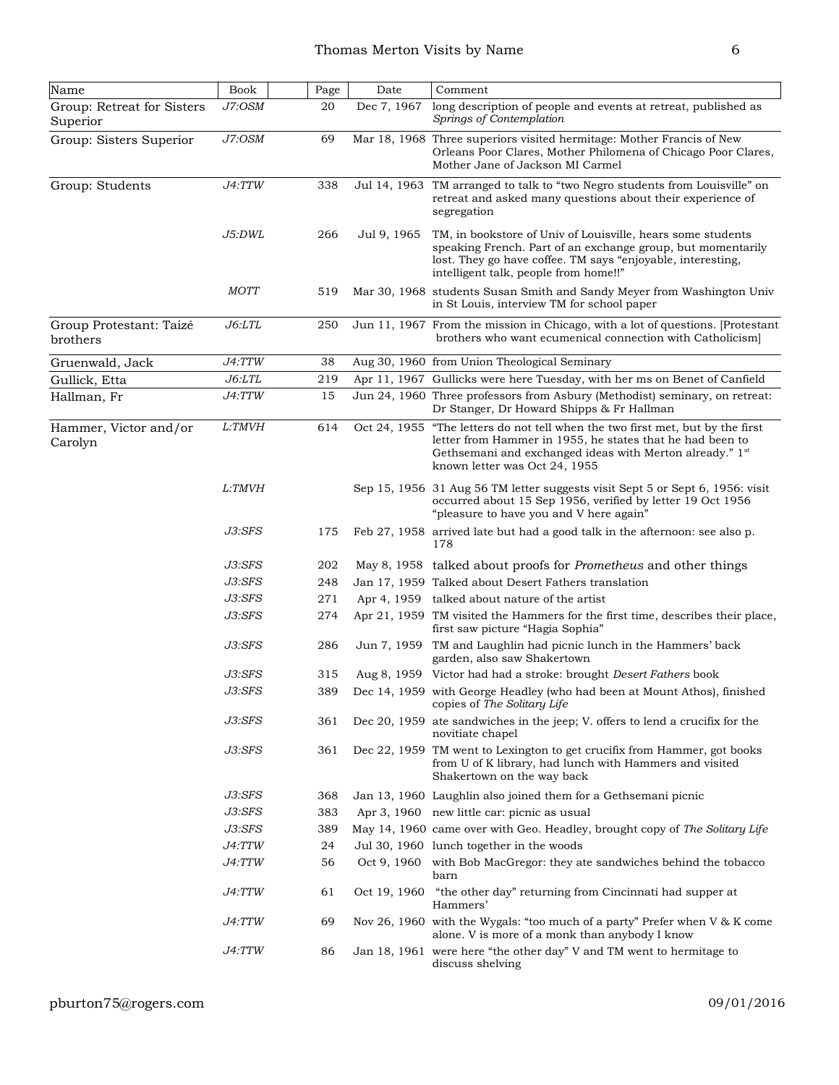| Name                                   | <b>Book</b>   | Page | Date         | Comment                                                                                                                                                                                                                                              |
|----------------------------------------|---------------|------|--------------|------------------------------------------------------------------------------------------------------------------------------------------------------------------------------------------------------------------------------------------------------|
| Group: Retreat for Sisters<br>Superior | J7:OSM        | 20   | Dec 7, 1967  | long description of people and events at retreat, published as<br>Springs of Contemplation                                                                                                                                                           |
| Group: Sisters Superior                | J7:OSM        | 69   |              | Mar 18, 1968 Three superiors visited hermitage: Mother Francis of New<br>Orleans Poor Clares, Mother Philomena of Chicago Poor Clares,<br>Mother Jane of Jackson MI Carmel                                                                           |
| Group: Students                        | J4:TTW        | 338  |              | Jul 14, 1963 TM arranged to talk to "two Negro students from Louisville" on<br>retreat and asked many questions about their experience of<br>segregation                                                                                             |
|                                        | J5:DWL        | 266  | Jul 9, 1965  | TM, in bookstore of Univ of Louisville, hears some students<br>speaking French. Part of an exchange group, but momentarily<br>lost. They go have coffee. TM says "enjoyable, interesting,<br>intelligent talk, people from home!!"                   |
|                                        | MOTT          | 519  |              | Mar 30, 1968 students Susan Smith and Sandy Meyer from Washington Univ<br>in St Louis, interview TM for school paper                                                                                                                                 |
| Group Protestant: Taizé<br>brothers    | J6:LTL        | 250  |              | Jun 11, 1967 From the mission in Chicago, with a lot of questions. [Protestant<br>brothers who want ecumenical connection with Catholicism                                                                                                           |
| Gruenwald, Jack                        | J4:TTW        | 38   |              | Aug 30, 1960 from Union Theological Seminary                                                                                                                                                                                                         |
| Gullick, Etta                          | J6: LTL       | 219  |              | Apr 11, 1967 Gullicks were here Tuesday, with her ms on Benet of Canfield                                                                                                                                                                            |
| Hallman, Fr                            | J4:TTW        | 15   |              | Jun 24, 1960 Three professors from Asbury (Methodist) seminary, on retreat:<br>Dr Stanger, Dr Howard Shipps & Fr Hallman                                                                                                                             |
| Hammer, Victor and/or<br>Carolyn       | L:TMVH        | 614  |              | Oct 24, 1955 "The letters do not tell when the two first met, but by the first<br>letter from Hammer in 1955, he states that he had been to<br>Gethsemani and exchanged ideas with Merton already." 1 <sup>st</sup><br>known letter was Oct 24, 1955 |
|                                        | <i>L:TMVH</i> |      |              | Sep 15, 1956 31 Aug 56 TM letter suggests visit Sept 5 or Sept 6, 1956: visit<br>occurred about 15 Sep 1956, verified by letter 19 Oct 1956<br>"pleasure to have you and V here again"                                                               |
|                                        | J3:SFS        | 175  |              | Feb 27, 1958 arrived late but had a good talk in the afternoon: see also p.<br>178                                                                                                                                                                   |
|                                        | J3:SFS        | 202  |              | May 8, 1958 talked about proofs for <i>Prometheus</i> and other things                                                                                                                                                                               |
|                                        | J3:SFS        | 248  |              | Jan 17, 1959 Talked about Desert Fathers translation                                                                                                                                                                                                 |
|                                        | $J3:$ S $FS$  | 271  |              | Apr 4, 1959 talked about nature of the artist                                                                                                                                                                                                        |
|                                        | $J3:$ S $FS$  | 274  |              | Apr 21, 1959 TM visited the Hammers for the first time, describes their place,<br>first saw picture "Hagia Sophia"                                                                                                                                   |
|                                        | J3:SFS        | 286  |              | Jun 7, 1959 TM and Laughlin had picnic lunch in the Hammers' back<br>garden, also saw Shakertown                                                                                                                                                     |
|                                        | J3:SFS        | 315  |              | Aug 8, 1959 Victor had had a stroke: brought Desert Fathers book                                                                                                                                                                                     |
|                                        | $J3:$ S $FS$  | 389  |              | Dec 14, 1959 with George Headley (who had been at Mount Athos), finished<br>copies of The Solitary Life                                                                                                                                              |
|                                        | J3:SFS        | 361  |              | Dec 20, 1959 at esandwiches in the jeep; V. offers to lend a crucifix for the<br>novitiate chapel                                                                                                                                                    |
|                                        | J3:SFS        | 361  |              | Dec 22, 1959 TM went to Lexington to get crucifix from Hammer, got books<br>from U of K library, had lunch with Hammers and visited<br>Shakertown on the way back                                                                                    |
|                                        | J3:SFS        | 368  |              | Jan 13, 1960 Laughlin also joined them for a Gethsemani picnic                                                                                                                                                                                       |
|                                        | J3:SFS        | 383  |              | Apr 3, 1960 new little car: picnic as usual                                                                                                                                                                                                          |
|                                        | J3:SFS        | 389  |              | May 14, 1960 came over with Geo. Headley, brought copy of The Solitary Life                                                                                                                                                                          |
|                                        | J4:TTW        | 24   |              | Jul 30, 1960 lunch together in the woods                                                                                                                                                                                                             |
|                                        | J4:TTW        | 56   | Oct 9, 1960  | with Bob MacGregor: they ate sandwiches behind the tobacco<br>barn                                                                                                                                                                                   |
|                                        | <i>J4:TTW</i> | 61   | Oct 19, 1960 | "the other day" returning from Cincinnati had supper at<br>Hammers'                                                                                                                                                                                  |
|                                        | <i>J4:TTW</i> | 69   |              | Nov 26, 1960 with the Wygals: "too much of a party" Prefer when V & K come<br>alone. V is more of a monk than anybody I know                                                                                                                         |
|                                        | <i>J4:TTW</i> | 86   |              | Jan 18, 1961 were here "the other day" V and TM went to hermitage to<br>discuss shelving                                                                                                                                                             |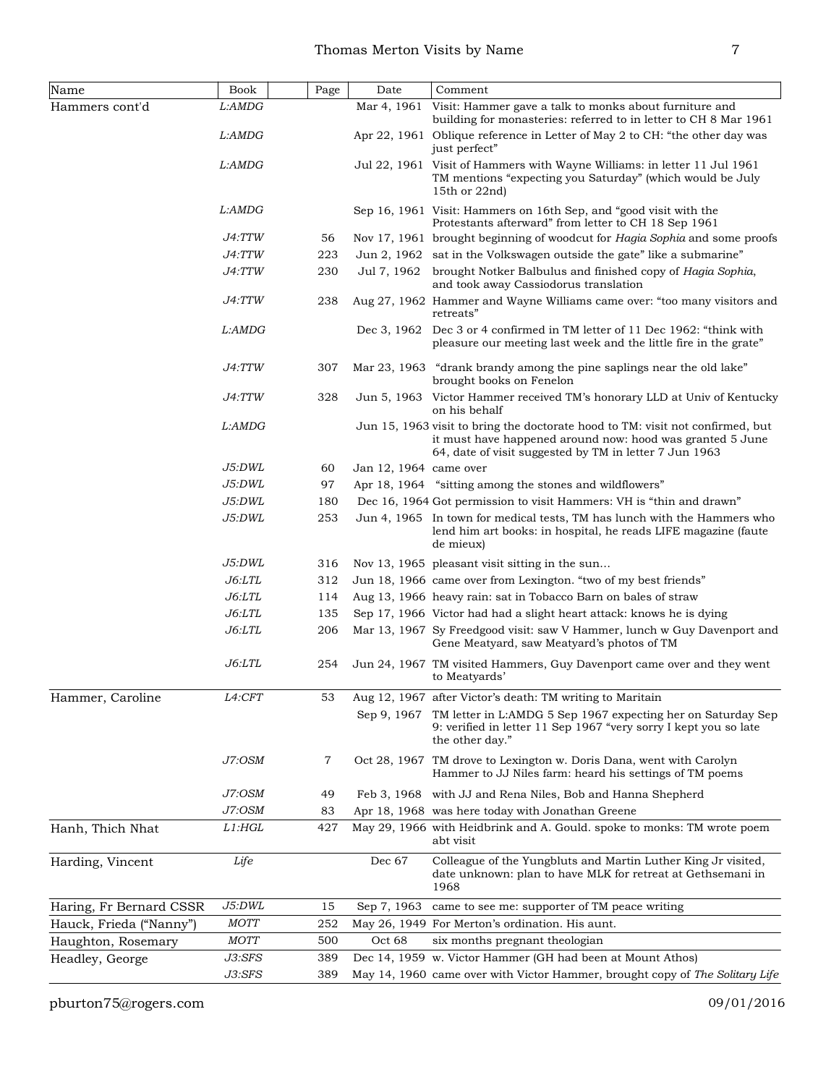| Name                    | Book          | Page | Date                   | Comment                                                                                                                                                                                               |
|-------------------------|---------------|------|------------------------|-------------------------------------------------------------------------------------------------------------------------------------------------------------------------------------------------------|
| Hammers cont'd          | L:AMDG        |      | Mar 4, 1961            | Visit: Hammer gave a talk to monks about furniture and<br>building for monasteries: referred to in letter to CH 8 Mar 1961                                                                            |
|                         | L:AMDG        |      |                        | Apr 22, 1961 Oblique reference in Letter of May 2 to CH: "the other day was<br>just perfect"                                                                                                          |
|                         | L:AMDG        |      |                        | Jul 22, 1961 Visit of Hammers with Wayne Williams: in letter 11 Jul 1961<br>TM mentions "expecting you Saturday" (which would be July<br>15th or $22nd$ )                                             |
|                         | L:AMDG        |      |                        | Sep 16, 1961 Visit: Hammers on 16th Sep, and "good visit with the<br>Protestants afterward" from letter to CH 18 Sep 1961                                                                             |
|                         | <i>J4:TTW</i> | 56   |                        | Nov 17, 1961 brought beginning of woodcut for Hagia Sophia and some proofs                                                                                                                            |
|                         | J4:TTW        | 223  |                        | Jun 2, 1962 sat in the Volkswagen outside the gate" like a submarine"                                                                                                                                 |
|                         | J4:TTW        | 230  | Jul 7, 1962            | brought Notker Balbulus and finished copy of Hagia Sophia,<br>and took away Cassiodorus translation                                                                                                   |
|                         | <i>J4:TTW</i> | 238  |                        | Aug 27, 1962 Hammer and Wayne Williams came over: "too many visitors and<br>retreats"                                                                                                                 |
|                         | L:AMDG        |      |                        | Dec 3, 1962 Dec 3 or 4 confirmed in TM letter of 11 Dec 1962: "think with<br>pleasure our meeting last week and the little fire in the grate"                                                         |
|                         | <i>J4:TTW</i> | 307  |                        | Mar 23, 1963 "drank brandy among the pine saplings near the old lake"<br>brought books on Fenelon                                                                                                     |
|                         | J4:TTW        | 328  |                        | Jun 5, 1963 Victor Hammer received TM's honorary LLD at Univ of Kentucky<br>on his behalf                                                                                                             |
|                         | L:AMDG        |      |                        | Jun 15, 1963 visit to bring the doctorate hood to TM: visit not confirmed, but<br>it must have happened around now: hood was granted 5 June<br>64, date of visit suggested by TM in letter 7 Jun 1963 |
|                         | J5:DWL        | 60   | Jan 12, 1964 came over |                                                                                                                                                                                                       |
|                         | J5:DWL        | 97   |                        | Apr 18, 1964 "sitting among the stones and wildflowers"                                                                                                                                               |
|                         | J5:DWL        | 180  |                        | Dec 16, 1964 Got permission to visit Hammers: VH is "thin and drawn"                                                                                                                                  |
|                         | J5:DWL        | 253  |                        | Jun 4, 1965 In town for medical tests, TM has lunch with the Hammers who<br>lend him art books: in hospital, he reads LIFE magazine (faute)<br>de mieux)                                              |
|                         | J5:DWL        | 316  |                        | Nov 13, 1965 pleasant visit sitting in the sun                                                                                                                                                        |
|                         | J6: LTL       | 312  |                        | Jun 18, 1966 came over from Lexington. "two of my best friends"                                                                                                                                       |
|                         | $J6:$ LTL     | 114  |                        | Aug 13, 1966 heavy rain: sat in Tobacco Barn on bales of straw                                                                                                                                        |
|                         | $J6:$ LTL     | 135  |                        | Sep 17, 1966 Victor had had a slight heart attack: knows he is dying                                                                                                                                  |
|                         | J6: LTL       | 206  |                        | Mar 13, 1967 Sy Freedgood visit: saw V Hammer, lunch w Guy Davenport and<br>Gene Meatyard, saw Meatyard's photos of TM                                                                                |
|                         | J6:LTL        | 254  |                        | Jun 24, 1967 TM visited Hammers, Guy Davenport came over and they went<br>to Meatyards'                                                                                                               |
| Hammer, Caroline        | L4:CFT        | 53   |                        | Aug 12, 1967 after Victor's death: TM writing to Maritain                                                                                                                                             |
|                         |               |      | Sep 9, 1967            | TM letter in L:AMDG 5 Sep 1967 expecting her on Saturday Sep<br>9: verified in letter 11 Sep 1967 "very sorry I kept you so late<br>the other day."                                                   |
|                         | J7:OSM        | 7    |                        | Oct 28, 1967 TM drove to Lexington w. Doris Dana, went with Carolyn<br>Hammer to JJ Niles farm: heard his settings of TM poems                                                                        |
|                         | J7:OSM        | 49   |                        | Feb 3, 1968 with JJ and Rena Niles, Bob and Hanna Shepherd                                                                                                                                            |
|                         | J7:OSM        | 83   |                        | Apr 18, 1968 was here today with Jonathan Greene                                                                                                                                                      |
| Hanh, Thich Nhat        | $L1:$ HGL     | 427  |                        | May 29, 1966 with Heidbrink and A. Gould. spoke to monks: TM wrote poem<br>abt visit                                                                                                                  |
| Harding, Vincent        | Life          |      | Dec 67                 | Colleague of the Yungbluts and Martin Luther King Jr visited,<br>date unknown: plan to have MLK for retreat at Gethsemani in<br>1968                                                                  |
| Haring, Fr Bernard CSSR | J5:DWL        | 15   | Sep 7, 1963            | came to see me: supporter of TM peace writing                                                                                                                                                         |
| Hauck, Frieda ("Nanny") | MOTT          | 252  |                        | May 26, 1949 For Merton's ordination. His aunt.                                                                                                                                                       |
| Haughton, Rosemary      | <b>MOTT</b>   | 500  | Oct 68                 | six months pregnant theologian                                                                                                                                                                        |
| Headley, George         | J3:SFS        | 389  |                        | Dec 14, 1959 w. Victor Hammer (GH had been at Mount Athos)                                                                                                                                            |
|                         | J3:SFS        | 389  |                        | May 14, 1960 came over with Victor Hammer, brought copy of The Solitary Life                                                                                                                          |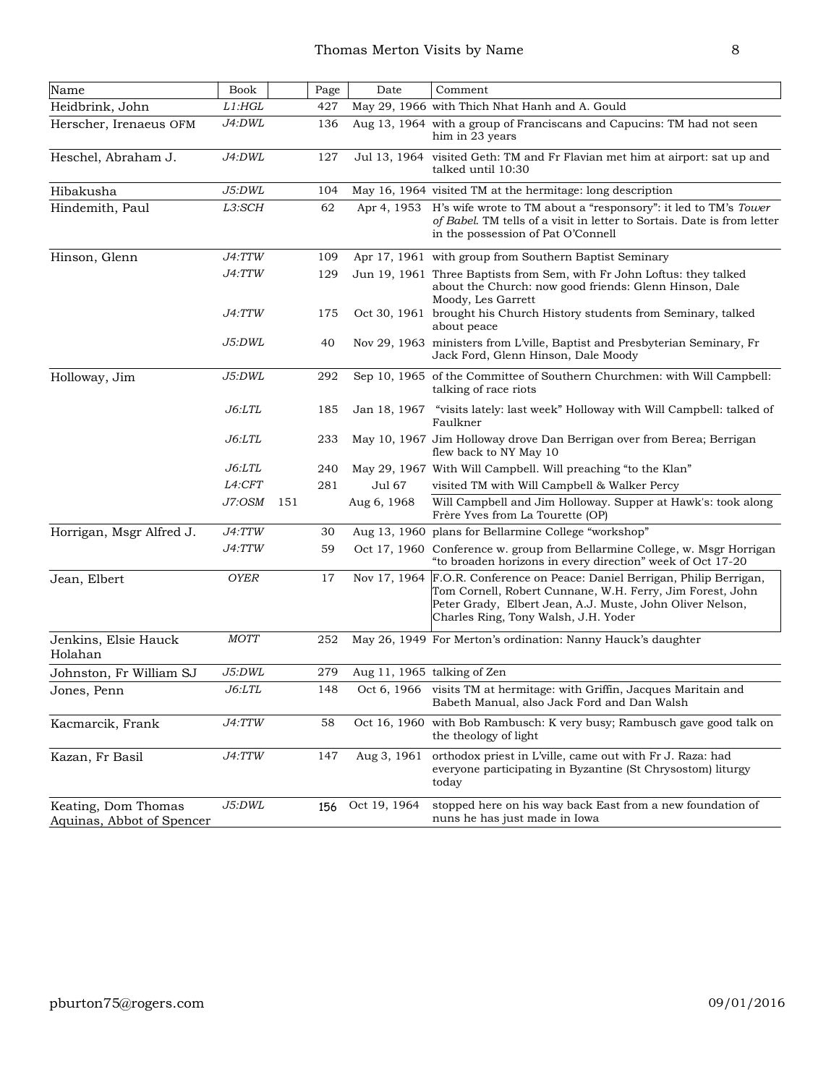| Name                                             | Book          | Page | Date         | Comment                                                                                                                                                                                                                         |
|--------------------------------------------------|---------------|------|--------------|---------------------------------------------------------------------------------------------------------------------------------------------------------------------------------------------------------------------------------|
| Heidbrink, John                                  | $L1:$ HGL     | 427  |              | May 29, 1966 with Thich Nhat Hanh and A. Gould                                                                                                                                                                                  |
| Herscher, Irenaeus OFM                           | J4:DWL        | 136  |              | Aug 13, 1964 with a group of Franciscans and Capucins: TM had not seen<br>him in 23 years                                                                                                                                       |
| Heschel, Abraham J.                              | J4:DWL        | 127  |              | Jul 13, 1964 visited Geth: TM and Fr Flavian met him at airport: sat up and<br>talked until 10:30                                                                                                                               |
| Hibakusha                                        | J5:DWL        | 104  |              | May 16, 1964 visited TM at the hermitage: long description                                                                                                                                                                      |
| Hindemith, Paul                                  | L3:SCH        | 62   | Apr 4, 1953  | H's wife wrote to TM about a "responsory": it led to TM's Tower<br>of Babel. TM tells of a visit in letter to Sortais. Date is from letter<br>in the possession of Pat O'Connell                                                |
| Hinson, Glenn                                    | J4:TTW        | 109  |              | Apr 17, 1961 with group from Southern Baptist Seminary                                                                                                                                                                          |
|                                                  | J4:TTW        | 129  |              | Jun 19, 1961 Three Baptists from Sem, with Fr John Loftus: they talked<br>about the Church: now good friends: Glenn Hinson, Dale<br>Moody, Les Garrett                                                                          |
|                                                  | J4:TTW        | 175  |              | Oct 30, 1961 brought his Church History students from Seminary, talked<br>about peace                                                                                                                                           |
|                                                  | J5:DWL        | 40   |              | Nov 29, 1963 ministers from L'ville, Baptist and Presbyterian Seminary, Fr<br>Jack Ford, Glenn Hinson, Dale Moody                                                                                                               |
| Holloway, Jim                                    | J5:DWL        | 292  |              | Sep 10, 1965 of the Committee of Southern Churchmen: with Will Campbell:<br>talking of race riots                                                                                                                               |
|                                                  | J6: LTL       | 185  |              | Jan 18, 1967 "visits lately: last week" Holloway with Will Campbell: talked of<br>Faulkner                                                                                                                                      |
|                                                  | <i>J6:LTL</i> | 233  |              | May 10, 1967 Jim Holloway drove Dan Berrigan over from Berea; Berrigan<br>flew back to NY May 10                                                                                                                                |
|                                                  | J6: LTL       | 240  |              | May 29, 1967 With Will Campbell. Will preaching "to the Klan"                                                                                                                                                                   |
|                                                  | L4:CFT        | 281  | Jul 67       | visited TM with Will Campbell & Walker Percy                                                                                                                                                                                    |
|                                                  | J7:OSM        | 151  | Aug 6, 1968  | Will Campbell and Jim Holloway. Supper at Hawk's: took along<br>Frère Yves from La Tourette (OP)                                                                                                                                |
| Horrigan, Msgr Alfred J.                         | J4:TTW        | 30   |              | Aug 13, 1960 plans for Bellarmine College "workshop"                                                                                                                                                                            |
|                                                  | J4:TTW        | 59   |              | Oct 17, 1960 Conference w. group from Bellarmine College, w. Msgr Horrigan<br>"to broaden horizons in every direction" week of Oct 17-20                                                                                        |
| Jean, Elbert                                     | <b>OYER</b>   | 17   | Nov 17, 1964 | F.O.R. Conference on Peace: Daniel Berrigan, Philip Berrigan,<br>Tom Cornell, Robert Cunnane, W.H. Ferry, Jim Forest, John<br>Peter Grady, Elbert Jean, A.J. Muste, John Oliver Nelson,<br>Charles Ring, Tony Walsh, J.H. Yoder |
| Jenkins, Elsie Hauck<br>Holahan                  | MOTT          | 252  |              | May 26, 1949 For Merton's ordination: Nanny Hauck's daughter                                                                                                                                                                    |
| Johnston, Fr William SJ                          | J5:DWL        | 279  |              | Aug 11, 1965 talking of Zen                                                                                                                                                                                                     |
| Jones, Penn                                      | <i>J6:LTL</i> | 148  |              | Oct 6, 1966 visits TM at hermitage: with Griffin, Jacques Maritain and<br>Babeth Manual, also Jack Ford and Dan Walsh                                                                                                           |
| Kacmarcik, Frank                                 | J4:TTW        | 58   | Oct 16, 1960 | with Bob Rambusch: K very busy; Rambusch gave good talk on<br>the theology of light                                                                                                                                             |
| Kazan, Fr Basil                                  | J4:TTW        | 147  | Aug 3, 1961  | orthodox priest in L'ville, came out with Fr J. Raza: had<br>everyone participating in Byzantine (St Chrysostom) liturgy<br>today                                                                                               |
| Keating, Dom Thomas<br>Aquinas, Abbot of Spencer | J5:DWL        | 156  | Oct 19, 1964 | stopped here on his way back East from a new foundation of<br>nuns he has just made in Iowa                                                                                                                                     |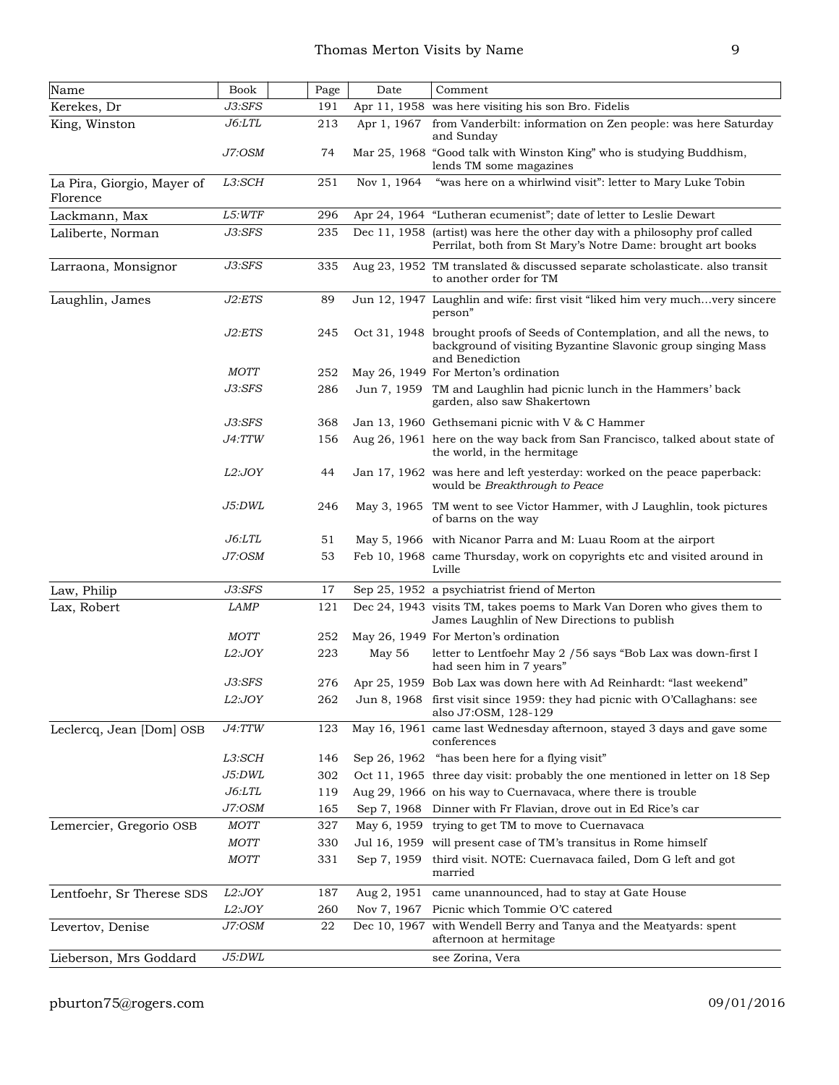| Name                                   | Book                    | Page       | Date        | Comment                                                                                                                                                        |
|----------------------------------------|-------------------------|------------|-------------|----------------------------------------------------------------------------------------------------------------------------------------------------------------|
| Kerekes, Dr                            | J3:SFS                  | 191        |             | Apr 11, 1958 was here visiting his son Bro. Fidelis                                                                                                            |
| King, Winston                          | J6: LTL                 | 213        | Apr 1, 1967 | from Vanderbilt: information on Zen people: was here Saturday<br>and Sunday                                                                                    |
|                                        | J7:OSM                  | 74         |             | Mar 25, 1968 "Good talk with Winston King" who is studying Buddhism,<br>lends TM some magazines                                                                |
| La Pira, Giorgio, Mayer of<br>Florence | L3:SCH                  | 251        | Nov 1, 1964 | "was here on a whirlwind visit": letter to Mary Luke Tobin                                                                                                     |
| Lackmann, Max                          | L5:WTF                  | 296        |             | Apr 24, 1964 "Lutheran ecumenist"; date of letter to Leslie Dewart                                                                                             |
| Laliberte, Norman                      | J3:SFS                  | 235        |             | Dec 11, 1958 (artist) was here the other day with a philosophy prof called<br>Perrilat, both from St Mary's Notre Dame: brought art books                      |
| Larraona, Monsignor                    | J3:SFS                  | 335        |             | Aug 23, 1952 TM translated & discussed separate scholasticate. also transit<br>to another order for TM                                                         |
| Laughlin, James                        | J2:ETS                  | 89         |             | Jun 12, 1947 Laughlin and wife: first visit "liked him very muchvery sincere<br>person"                                                                        |
|                                        | J2:ETS                  | 245        |             | Oct 31, 1948 brought proofs of Seeds of Contemplation, and all the news, to<br>background of visiting Byzantine Slavonic group singing Mass<br>and Benediction |
|                                        | <b>MOTT</b>             | 252        |             | May 26, 1949 For Merton's ordination                                                                                                                           |
|                                        | J3:SFS                  | 286        |             | Jun 7, 1959 TM and Laughlin had picnic lunch in the Hammers' back<br>garden, also saw Shakertown                                                               |
|                                        | J3:SFS                  | 368        |             | Jan 13, 1960 Gethsemani picnic with V & C Hammer                                                                                                               |
|                                        | J4:TTW                  | 156        |             | Aug 26, 1961 here on the way back from San Francisco, talked about state of<br>the world, in the hermitage                                                     |
|                                        | L2:JOY                  | 44         |             | Jan 17, 1962 was here and left yesterday: worked on the peace paperback:<br>would be Breakthrough to Peace                                                     |
|                                        | J5:DWL                  | 246        |             | May 3, 1965 TM went to see Victor Hammer, with J Laughlin, took pictures<br>of barns on the way                                                                |
|                                        | $J6:$ LTL               | 51         |             | May 5, 1966 with Nicanor Parra and M: Luau Room at the airport                                                                                                 |
|                                        | J7:OSM                  | 53         |             | Feb 10, 1968 came Thursday, work on copyrights etc and visited around in<br>Lville                                                                             |
| Law, Philip                            | J3:SFS                  | 17         |             | Sep 25, 1952 a psychiatrist friend of Merton                                                                                                                   |
| Lax, Robert                            | <b>LAMP</b>             | 121        |             | Dec 24, 1943 visits TM, takes poems to Mark Van Doren who gives them to<br>James Laughlin of New Directions to publish                                         |
|                                        | MOTT                    | 252        |             | May 26, 1949 For Merton's ordination                                                                                                                           |
|                                        | L2:JOY                  | 223        | May 56      | letter to Lentfoehr May 2 / 56 says "Bob Lax was down-first I<br>had seen him in 7 years"                                                                      |
|                                        | J3:SFS                  | 276        |             | Apr 25, 1959 Bob Lax was down here with Ad Reinhardt: "last weekend"                                                                                           |
|                                        | L2:JOY                  | 262        |             | Jun 8, 1968 first visit since 1959: they had picnic with O'Callaghans: see<br>also J7:OSM, 128-129                                                             |
| Leclercq, Jean [Dom] OSB               | J4:TTW                  | 123        |             | May 16, 1961 came last Wednesday afternoon, stayed 3 days and gave some<br>conferences                                                                         |
|                                        | L3:SCH                  | 146        |             | Sep 26, 1962 "has been here for a flying visit"                                                                                                                |
|                                        | J5:DWL                  | 302        |             | Oct 11, 1965 three day visit: probably the one mentioned in letter on 18 Sep                                                                                   |
|                                        | J6: LTL<br>J7:OSM       | 119<br>165 | Sep 7, 1968 | Aug 29, 1966 on his way to Cuernavaca, where there is trouble<br>Dinner with Fr Flavian, drove out in Ed Rice's car                                            |
|                                        | <b>MOTT</b>             | 327        | May 6, 1959 | trying to get TM to move to Cuernavaca                                                                                                                         |
| Lemercier, Gregorio OSB                | <b>MOTT</b>             | 330        |             | Jul 16, 1959 will present case of TM's transitus in Rome himself                                                                                               |
|                                        | <b>MOTT</b>             | 331        | Sep 7, 1959 | third visit. NOTE: Cuernavaca failed, Dom G left and got                                                                                                       |
|                                        |                         |            |             | married                                                                                                                                                        |
| Lentfoehr, Sr Therese SDS              | L2:JOY                  | 187        | Aug 2, 1951 | came unannounced, had to stay at Gate House                                                                                                                    |
| Levertov, Denise                       | <i>L2:JOY</i><br>J7:OSM | 260<br>22  | Nov 7, 1967 | Picnic which Tommie O'C catered<br>Dec 10, 1967 with Wendell Berry and Tanya and the Meatyards: spent                                                          |
|                                        | J5:DWL                  |            |             | afternoon at hermitage                                                                                                                                         |
| Lieberson, Mrs Goddard                 |                         |            |             | see Zorina, Vera                                                                                                                                               |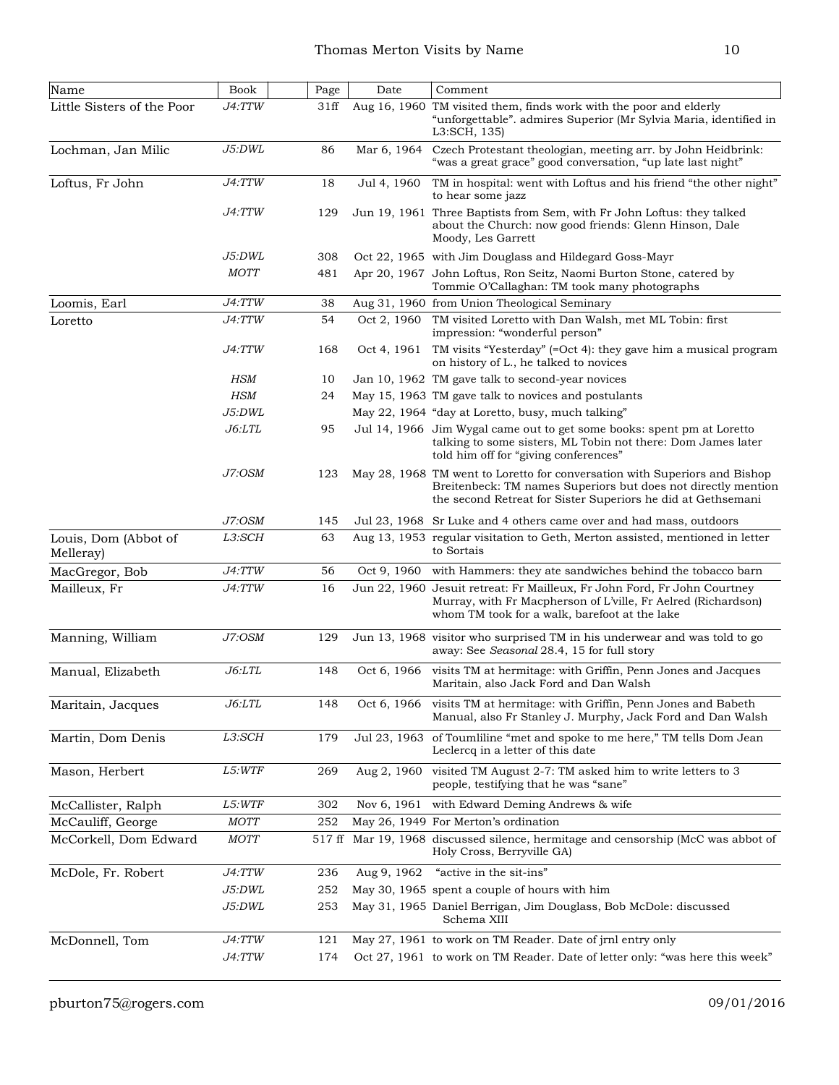| Name                              | Book          | Page   | Date        | Comment                                                                                                                                                                                                     |
|-----------------------------------|---------------|--------|-------------|-------------------------------------------------------------------------------------------------------------------------------------------------------------------------------------------------------------|
| Little Sisters of the Poor        | J4:TTW        | 31ff   |             | Aug 16, 1960 TM visited them, finds work with the poor and elderly<br>"unforgettable". admires Superior (Mr Sylvia Maria, identified in<br>L3:SCH, 135)                                                     |
| Lochman, Jan Milic                | J5:DWL        | 86     | Mar 6, 1964 | Czech Protestant theologian, meeting arr. by John Heidbrink:<br>"was a great grace" good conversation, "up late last night"                                                                                 |
| Loftus, Fr John                   | J4:TTW        | 18     | Jul 4, 1960 | TM in hospital: went with Loftus and his friend "the other night"<br>to hear some jazz                                                                                                                      |
|                                   | J4:TTW        | 129    |             | Jun 19, 1961 Three Baptists from Sem, with Fr John Loftus: they talked<br>about the Church: now good friends: Glenn Hinson, Dale<br>Moody, Les Garrett                                                      |
|                                   | J5:DWL        | 308    |             | Oct 22, 1965 with Jim Douglass and Hildegard Goss-Mayr                                                                                                                                                      |
|                                   | <b>MOTT</b>   | 481    |             | Apr 20, 1967 John Loftus, Ron Seitz, Naomi Burton Stone, catered by<br>Tommie O'Callaghan: TM took many photographs                                                                                         |
| Loomis, Earl                      | J4:TTW        | 38     |             | Aug 31, 1960 from Union Theological Seminary                                                                                                                                                                |
| Loretto                           | J4:TTW        | 54     | Oct 2, 1960 | TM visited Loretto with Dan Walsh, met ML Tobin: first<br>impression: "wonderful person"                                                                                                                    |
|                                   | J4:TTW        | 168    | Oct 4, 1961 | TM visits "Yesterday" (=Oct 4): they gave him a musical program<br>on history of L., he talked to novices                                                                                                   |
|                                   | <b>HSM</b>    | 10     |             | Jan 10, 1962 TM gave talk to second-year novices                                                                                                                                                            |
|                                   | <b>HSM</b>    | 24     |             | May 15, 1963 TM gave talk to novices and postulants                                                                                                                                                         |
|                                   | J5:DWL        |        |             | May 22, 1964 "day at Loretto, busy, much talking"                                                                                                                                                           |
|                                   | J6: LTL       | 95     |             | Jul 14, 1966 Jim Wygal came out to get some books: spent pm at Loretto<br>talking to some sisters, ML Tobin not there: Dom James later<br>told him off for "giving conferences"                             |
|                                   | J7:OSM        | 123    |             | May 28, 1968 TM went to Loretto for conversation with Superiors and Bishop<br>Breitenbeck: TM names Superiors but does not directly mention<br>the second Retreat for Sister Superiors he did at Gethsemani |
|                                   | J7:OSM        | 145    |             | Jul 23, 1968 Sr Luke and 4 others came over and had mass, outdoors                                                                                                                                          |
| Louis, Dom (Abbot of<br>Melleray) | L3:SCH        | 63     |             | Aug 13, 1953 regular visitation to Geth, Merton assisted, mentioned in letter<br>to Sortais                                                                                                                 |
| MacGregor, Bob                    | J4:TTW        | 56     | Oct 9, 1960 | with Hammers: they ate sandwiches behind the tobacco barn                                                                                                                                                   |
| Mailleux, Fr                      | J4:TTW        | 16     |             | Jun 22, 1960 Jesuit retreat: Fr Mailleux, Fr John Ford, Fr John Courtney<br>Murray, with Fr Macpherson of L'ville, Fr Aelred (Richardson)<br>whom TM took for a walk, barefoot at the lake                  |
| Manning, William                  | J7:OSM        | 129    |             | Jun 13, 1968 visitor who surprised TM in his underwear and was told to go<br>away: See Seasonal 28.4, 15 for full story                                                                                     |
| Manual, Elizabeth                 | J6: LTL       | 148    | Oct 6, 1966 | visits TM at hermitage: with Griffin, Penn Jones and Jacques<br>Maritain, also Jack Ford and Dan Walsh                                                                                                      |
| Maritain, Jacques                 | J6: LTL       | 148    |             | Oct 6, 1966 visits TM at hermitage: with Griffin, Penn Jones and Babeth<br>Manual, also Fr Stanley J. Murphy, Jack Ford and Dan Walsh                                                                       |
| Martin, Dom Denis                 | L3:SCH        | 179    |             | Jul 23, 1963 of Toumliline "met and spoke to me here," TM tells Dom Jean<br>Leclercq in a letter of this date                                                                                               |
| Mason, Herbert                    | <i>L5:WTF</i> | 269    | Aug 2, 1960 | visited TM August 2-7: TM asked him to write letters to 3<br>people, testifying that he was "sane"                                                                                                          |
| McCallister, Ralph                | L5:WTF        | 302    | Nov 6, 1961 | with Edward Deming Andrews & wife                                                                                                                                                                           |
| McCauliff, George                 | $MOTT$        | 252    |             | May 26, 1949 For Merton's ordination                                                                                                                                                                        |
| McCorkell, Dom Edward             | <b>MOTT</b>   | 517 ff |             | Mar 19, 1968 discussed silence, hermitage and censorship (McC was abbot of<br>Holy Cross, Berryville GA)                                                                                                    |
| McDole, Fr. Robert                | J4:TTW        | 236    | Aug 9, 1962 | "active in the sit-ins"                                                                                                                                                                                     |
|                                   | <i>J5:DWL</i> | 252    |             | May 30, 1965 spent a couple of hours with him                                                                                                                                                               |
|                                   | J5:DWL        | 253    |             | May 31, 1965 Daniel Berrigan, Jim Douglass, Bob McDole: discussed<br>Schema XIII                                                                                                                            |
| McDonnell, Tom                    | J4:TTW        | 121    |             | May 27, 1961 to work on TM Reader. Date of jrnl entry only                                                                                                                                                  |
|                                   | J4:TTW        | 174    |             | Oct 27, 1961 to work on TM Reader. Date of letter only: "was here this week"                                                                                                                                |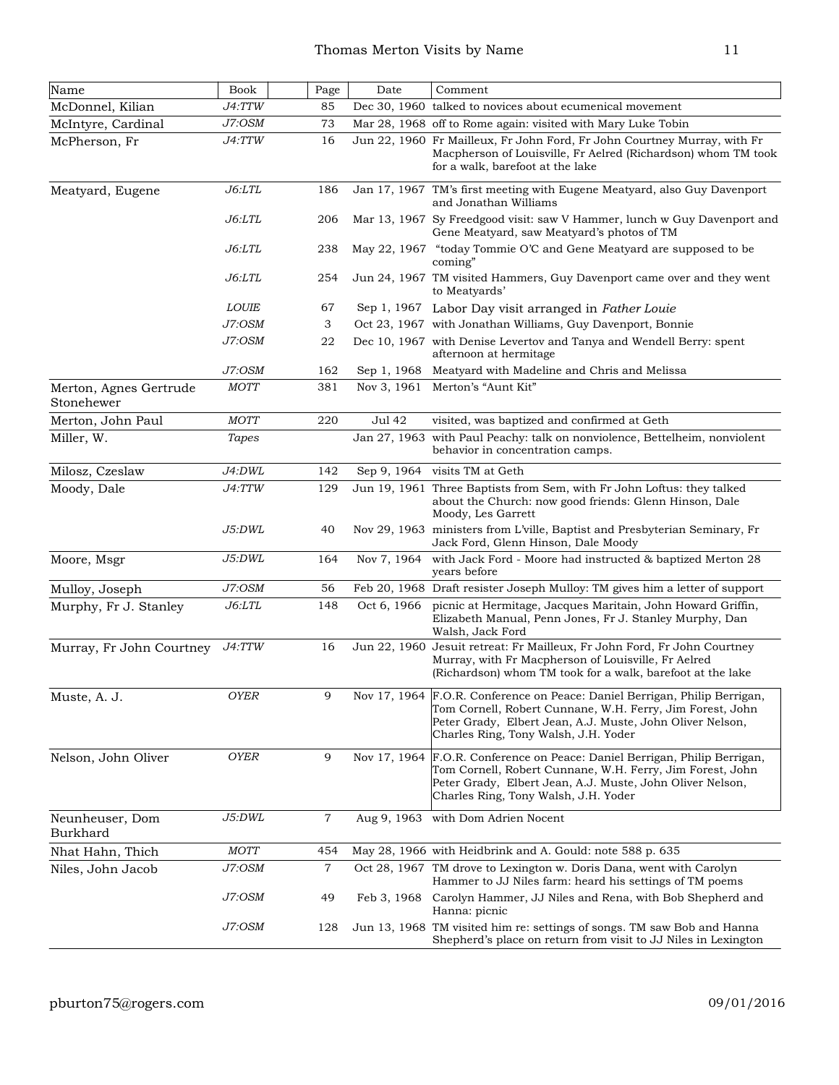| Name                                 | <b>Book</b>  | Page           | Date          | Comment                                                                                                                                                                                                                                      |
|--------------------------------------|--------------|----------------|---------------|----------------------------------------------------------------------------------------------------------------------------------------------------------------------------------------------------------------------------------------------|
| McDonnel, Kilian                     | J4:TTW       | 85             |               | Dec 30, 1960 talked to novices about ecumenical movement                                                                                                                                                                                     |
| McIntyre, Cardinal                   | J7:OSM       | 73             |               | Mar 28, 1968 off to Rome again: visited with Mary Luke Tobin                                                                                                                                                                                 |
| McPherson, Fr                        | J4:TTW       | 16             |               | Jun 22, 1960 Fr Mailleux, Fr John Ford, Fr John Courtney Murray, with Fr<br>Macpherson of Louisville, Fr Aelred (Richardson) whom TM took<br>for a walk, barefoot at the lake                                                                |
| Meatyard, Eugene                     | J6: LTL      | 186            |               | Jan 17, 1967 TM's first meeting with Eugene Meatyard, also Guy Davenport<br>and Jonathan Williams                                                                                                                                            |
|                                      | $J6:$ LTL    | 206            |               | Mar 13, 1967 Sy Freedgood visit: saw V Hammer, lunch w Guy Davenport and<br>Gene Meatyard, saw Meatyard's photos of TM                                                                                                                       |
|                                      | $J6:$ LTL    | 238            |               | May 22, 1967 "today Tommie O'C and Gene Meatyard are supposed to be<br>coming"                                                                                                                                                               |
|                                      | J6:LTL       | 254            |               | Jun 24, 1967 TM visited Hammers, Guy Davenport came over and they went<br>to Meatyards'                                                                                                                                                      |
|                                      | <b>LOUIE</b> | 67             |               | Sep 1, 1967 Labor Day visit arranged in Father Louie                                                                                                                                                                                         |
|                                      | J7:OSM       | 3              |               | Oct 23, 1967 with Jonathan Williams, Guy Davenport, Bonnie                                                                                                                                                                                   |
|                                      | J7:OSM       | 22             |               | Dec 10, 1967 with Denise Levertov and Tanya and Wendell Berry: spent<br>afternoon at hermitage                                                                                                                                               |
|                                      | J7:OSM       | 162            | Sep 1, 1968   | Meatyard with Madeline and Chris and Melissa                                                                                                                                                                                                 |
| Merton, Agnes Gertrude<br>Stonehewer | <b>MOTT</b>  | 381            | Nov 3, 1961   | Merton's "Aunt Kit"                                                                                                                                                                                                                          |
| Merton, John Paul                    | <b>MOTT</b>  | 220            | <b>Jul 42</b> | visited, was baptized and confirmed at Geth                                                                                                                                                                                                  |
| Miller, W.                           | Tapes        |                | Jan 27, 1963  | with Paul Peachy: talk on nonviolence, Bettelheim, nonviolent<br>behavior in concentration camps.                                                                                                                                            |
| Milosz, Czeslaw                      | J4:DWL       | 142            | Sep 9, 1964   | visits TM at Geth                                                                                                                                                                                                                            |
| Moody, Dale                          | J4:TTW       | 129            |               | Jun 19, 1961 Three Baptists from Sem, with Fr John Loftus: they talked<br>about the Church: now good friends: Glenn Hinson, Dale<br>Moody, Les Garrett                                                                                       |
|                                      | J5:DWL       | 40             |               | Nov 29, 1963 ministers from L'ville, Baptist and Presbyterian Seminary, Fr<br>Jack Ford, Glenn Hinson, Dale Moody                                                                                                                            |
| Moore, Msgr                          | J5:DWL       | 164            | Nov 7, 1964   | with Jack Ford - Moore had instructed & baptized Merton 28<br>years before                                                                                                                                                                   |
| Mulloy, Joseph                       | J7:OSM       | 56             |               | Feb 20, 1968 Draft resister Joseph Mulloy: TM gives him a letter of support                                                                                                                                                                  |
| Murphy, Fr J. Stanley                | J6: LTL      | 148            | Oct 6, 1966   | picnic at Hermitage, Jacques Maritain, John Howard Griffin,<br>Elizabeth Manual, Penn Jones, Fr J. Stanley Murphy, Dan<br>Walsh, Jack Ford                                                                                                   |
| Murray, Fr John Courtney             | J4:TTW       | 16             |               | Jun 22, 1960 Jesuit retreat: Fr Mailleux, Fr John Ford, Fr John Courtney<br>Murray, with Fr Macpherson of Louisville, Fr Aelred<br>(Richardson) whom TM took for a walk, barefoot at the lake                                                |
| Muste, A. J.                         | <b>OYER</b>  | 9              |               | Nov 17, 1964 F.O.R. Conference on Peace: Daniel Berrigan, Philip Berrigan,<br>Tom Cornell, Robert Cunnane, W.H. Ferry, Jim Forest, John<br>Peter Grady, Elbert Jean, A.J. Muste, John Oliver Nelson,<br>Charles Ring, Tony Walsh, J.H. Yoder |
| Nelson, John Oliver                  | <b>OYER</b>  | 9              | Nov 17, 1964  | F.O.R. Conference on Peace: Daniel Berrigan, Philip Berrigan,<br>Tom Cornell, Robert Cunnane, W.H. Ferry, Jim Forest, John<br>Peter Grady, Elbert Jean, A.J. Muste, John Oliver Nelson,<br> Charles Ring, Tony Walsh, J.H. Yoder             |
| Neunheuser, Dom<br>Burkhard          | J5:DWL       | $\overline{7}$ |               | Aug 9, 1963 with Dom Adrien Nocent                                                                                                                                                                                                           |
| Nhat Hahn, Thich                     | <b>MOTT</b>  | 454            |               | May 28, 1966 with Heidbrink and A. Gould: note 588 p. 635                                                                                                                                                                                    |
| Niles, John Jacob                    | $J7$ : $OSM$ | $\overline{7}$ |               | Oct 28, 1967 TM drove to Lexington w. Doris Dana, went with Carolyn<br>Hammer to JJ Niles farm: heard his settings of TM poems                                                                                                               |
|                                      | J7:OSM       | 49             | Feb 3, 1968   | Carolyn Hammer, JJ Niles and Rena, with Bob Shepherd and<br>Hanna: picnic                                                                                                                                                                    |
|                                      | J7:OSM       | 128            |               | Jun 13, 1968 TM visited him re: settings of songs. TM saw Bob and Hanna<br>Shepherd's place on return from visit to JJ Niles in Lexington                                                                                                    |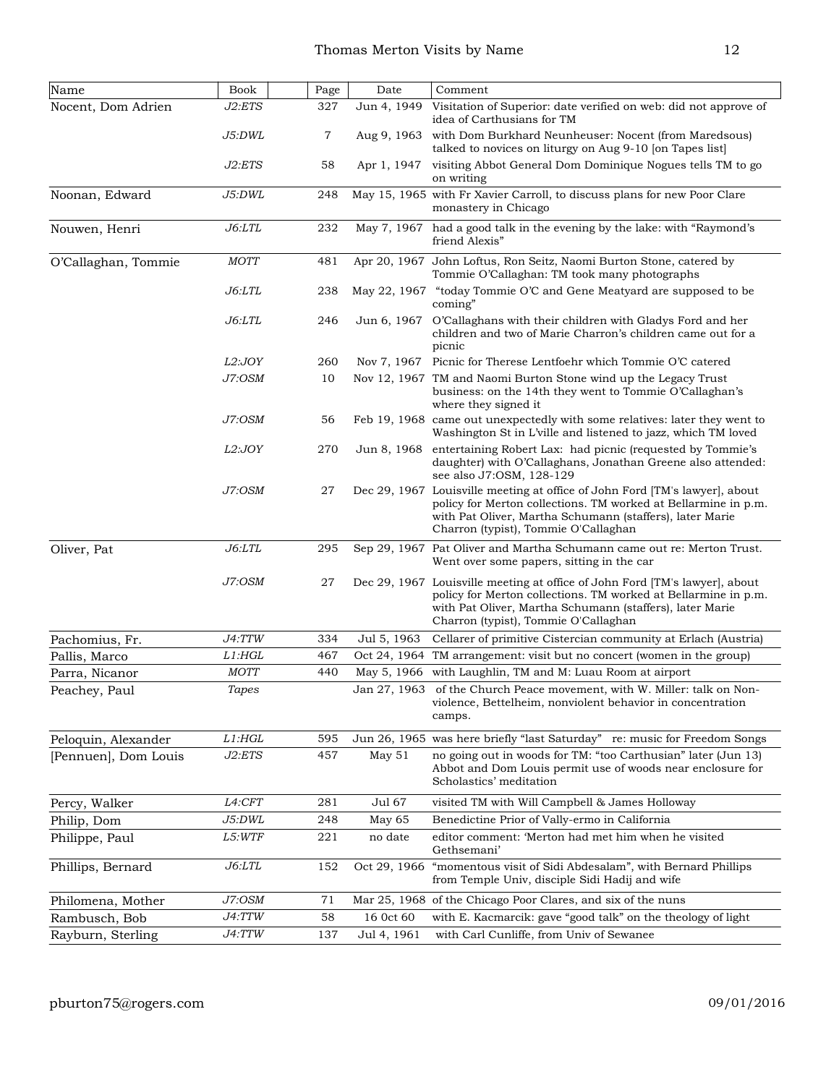| Name                 | Book        | Page | Date         | Comment                                                                                                                                                                                                                                           |
|----------------------|-------------|------|--------------|---------------------------------------------------------------------------------------------------------------------------------------------------------------------------------------------------------------------------------------------------|
| Nocent, Dom Adrien   | J2:ETS      | 327  | Jun 4, 1949  | Visitation of Superior: date verified on web: did not approve of<br>idea of Carthusians for TM                                                                                                                                                    |
|                      | J5:DWL      | 7    |              | Aug 9, 1963 with Dom Burkhard Neunheuser: Nocent (from Maredsous)<br>talked to novices on liturgy on Aug 9-10 [on Tapes list]                                                                                                                     |
|                      | J2:ETS      | 58   | Apr 1, 1947  | visiting Abbot General Dom Dominique Nogues tells TM to go<br>on writing                                                                                                                                                                          |
| Noonan, Edward       | J5:DWL      | 248  |              | May 15, 1965 with Fr Xavier Carroll, to discuss plans for new Poor Clare<br>monastery in Chicago                                                                                                                                                  |
| Nouwen, Henri        | J6:LTL      | 232  |              | May 7, 1967 had a good talk in the evening by the lake: with "Raymond's"<br>friend Alexis"                                                                                                                                                        |
| O'Callaghan, Tommie  | <b>MOTT</b> | 481  |              | Apr 20, 1967 John Loftus, Ron Seitz, Naomi Burton Stone, catered by<br>Tommie O'Callaghan: TM took many photographs                                                                                                                               |
|                      | J6:LTL      | 238  |              | May 22, 1967 "today Tommie O'C and Gene Meatyard are supposed to be<br>coming"                                                                                                                                                                    |
|                      | J6:LTL      | 246  | Jun 6, 1967  | O'Callaghans with their children with Gladys Ford and her<br>children and two of Marie Charron's children came out for a<br>picnic                                                                                                                |
|                      | L2:JOY      | 260  | Nov 7, 1967  | Picnic for Therese Lentfoehr which Tommie O'C catered                                                                                                                                                                                             |
|                      | J7:OSM      | 10   |              | Nov 12, 1967 TM and Naomi Burton Stone wind up the Legacy Trust<br>business: on the 14th they went to Tommie O'Callaghan's<br>where they signed it                                                                                                |
|                      | J7:OSM      | 56   |              | Feb 19, 1968 came out unexpectedly with some relatives: later they went to<br>Washington St in L'ville and listened to jazz, which TM loved                                                                                                       |
|                      | L2:JOY      | 270  | Jun 8, 1968  | entertaining Robert Lax: had picnic (requested by Tommie's<br>daughter) with O'Callaghans, Jonathan Greene also attended:<br>see also J7:OSM, 128-129                                                                                             |
|                      | J7:OSM      | 27   |              | Dec 29, 1967 Louisville meeting at office of John Ford [TM's lawyer], about<br>policy for Merton collections. TM worked at Bellarmine in p.m.<br>with Pat Oliver, Martha Schumann (staffers), later Marie<br>Charron (typist), Tommie O'Callaghan |
| Oliver, Pat          | J6: LTL     | 295  |              | Sep 29, 1967 Pat Oliver and Martha Schumann came out re: Merton Trust.<br>Went over some papers, sitting in the car                                                                                                                               |
|                      | J7:OSM      | 27   |              | Dec 29, 1967 Louisville meeting at office of John Ford [TM's lawyer], about<br>policy for Merton collections. TM worked at Bellarmine in p.m.<br>with Pat Oliver, Martha Schumann (staffers), later Marie<br>Charron (typist), Tommie O'Callaghan |
| Pachomius, Fr.       | J4:TTW      | 334  | Jul 5, 1963  | Cellarer of primitive Cistercian community at Erlach (Austria)                                                                                                                                                                                    |
| Pallis, Marco        | $L1:$ HGL   | 467  | Oct 24, 1964 | TM arrangement: visit but no concert (women in the group)                                                                                                                                                                                         |
| Parra, Nicanor       | <i>MOTT</i> | 440  | May 5, 1966  | with Laughlin, TM and M: Luau Room at airport                                                                                                                                                                                                     |
| Peachey, Paul        | Tapes       |      |              | Jan 27, 1963 of the Church Peace movement, with W. Miller: talk on Non-<br>violence, Bettelheim, nonviolent behavior in concentration<br>camps.                                                                                                   |
| Peloquin, Alexander  | $L1:$ HGL   | 595  |              | Jun 26, 1965 was here briefly "last Saturday" re: music for Freedom Songs                                                                                                                                                                         |
| [Pennuen], Dom Louis | J2:ETS      | 457  | May 51       | no going out in woods for TM: "too Carthusian" later (Jun 13)<br>Abbot and Dom Louis permit use of woods near enclosure for<br>Scholastics' meditation                                                                                            |
| Percy, Walker        | L4:CFT      | 281  | Jul 67       | visited TM with Will Campbell & James Holloway                                                                                                                                                                                                    |
| Philip, Dom          | J5:DWL      | 248  | May 65       | Benedictine Prior of Vally-ermo in California                                                                                                                                                                                                     |
| Philippe, Paul       | L5:WTF      | 221  | no date      | editor comment: 'Merton had met him when he visited<br>Gethsemani'                                                                                                                                                                                |
| Phillips, Bernard    | J6: LTL     | 152  |              | Oct 29, 1966 "momentous visit of Sidi Abdesalam", with Bernard Phillips<br>from Temple Univ, disciple Sidi Hadij and wife                                                                                                                         |
| Philomena, Mother    | J7:OSM      | 71   |              | Mar 25, 1968 of the Chicago Poor Clares, and six of the nuns                                                                                                                                                                                      |
| Rambusch, Bob        | J4:TTW      | 58   | 16 0ct 60    | with E. Kacmarcik: gave "good talk" on the theology of light                                                                                                                                                                                      |
| Rayburn, Sterling    | J4:TTW      | 137  | Jul 4, 1961  | with Carl Cunliffe, from Univ of Sewanee                                                                                                                                                                                                          |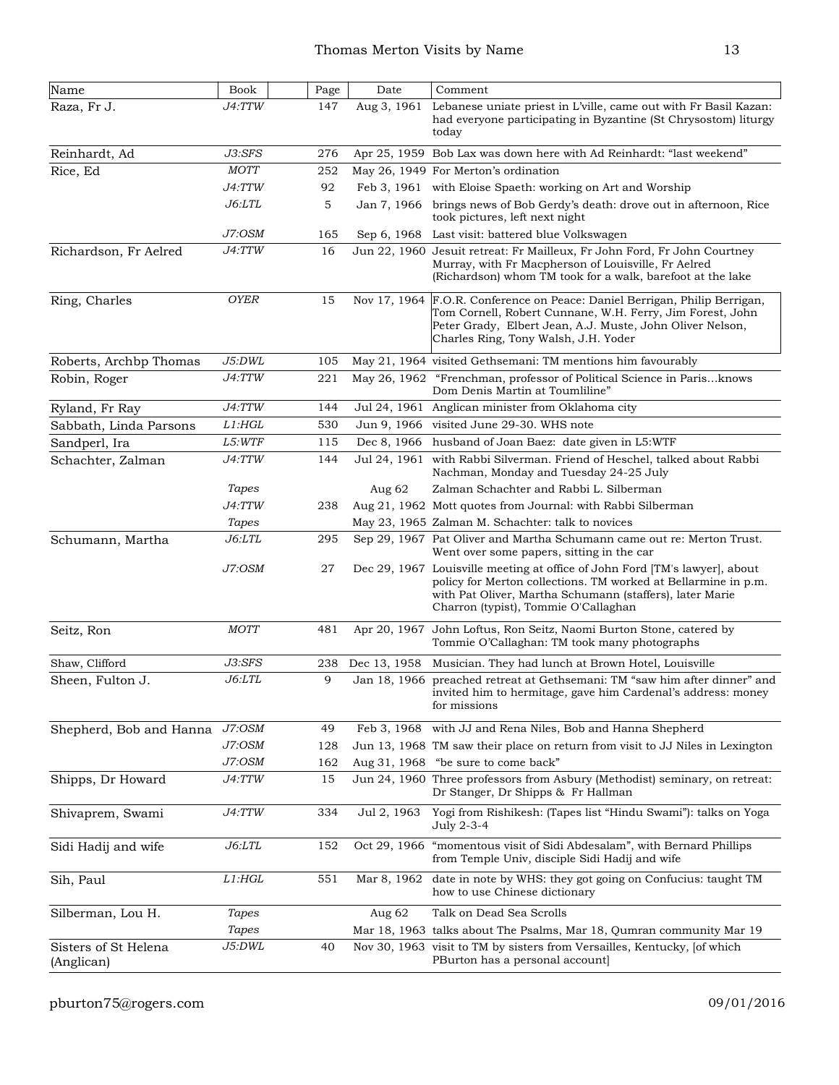| Name                               | Book          | Page | Date         | Comment                                                                                                                                                                                                                                           |
|------------------------------------|---------------|------|--------------|---------------------------------------------------------------------------------------------------------------------------------------------------------------------------------------------------------------------------------------------------|
| Raza, Fr J.                        | <i>J4:TTW</i> | 147  | Aug 3, 1961  | Lebanese uniate priest in L'ville, came out with Fr Basil Kazan:<br>had everyone participating in Byzantine (St Chrysostom) liturgy<br>today                                                                                                      |
| Reinhardt, Ad                      | J3:SFS        | 276  |              | Apr 25, 1959 Bob Lax was down here with Ad Reinhardt: "last weekend"                                                                                                                                                                              |
| Rice, Ed                           | <b>MOTT</b>   | 252  |              | May 26, 1949 For Merton's ordination                                                                                                                                                                                                              |
|                                    | <i>J4:TTW</i> | 92   |              | Feb 3, 1961 with Eloise Spaeth: working on Art and Worship                                                                                                                                                                                        |
|                                    | <i>J6:LTL</i> | 5    |              | Jan 7, 1966 brings news of Bob Gerdy's death: drove out in afternoon, Rice<br>took pictures, left next night                                                                                                                                      |
|                                    | J7:OSM        | 165  | Sep 6, 1968  | Last visit: battered blue Volkswagen                                                                                                                                                                                                              |
| Richardson, Fr Aelred              | J4:TTW        | 16   |              | Jun 22, 1960 Jesuit retreat: Fr Mailleux, Fr John Ford, Fr John Courtney<br>Murray, with Fr Macpherson of Louisville, Fr Aelred<br>(Richardson) whom TM took for a walk, barefoot at the lake                                                     |
| Ring, Charles                      | <b>OYER</b>   | 15   |              | Nov 17, 1964 F.O.R. Conference on Peace: Daniel Berrigan, Philip Berrigan,<br>Tom Cornell, Robert Cunnane, W.H. Ferry, Jim Forest, John<br>Peter Grady, Elbert Jean, A.J. Muste, John Oliver Nelson,<br>Charles Ring, Tony Walsh, J.H. Yoder      |
| Roberts, Archbp Thomas             | J5:DWL        | 105  |              | May 21, 1964 visited Gethsemani: TM mentions him favourably                                                                                                                                                                                       |
| Robin, Roger                       | J4:TTW        | 221  |              | May 26, 1962 "Frenchman, professor of Political Science in Paris knows<br>Dom Denis Martin at Toumliline"                                                                                                                                         |
| Ryland, Fr Ray                     | J4:TTW        | 144  |              | Jul 24, 1961 Anglican minister from Oklahoma city                                                                                                                                                                                                 |
| Sabbath, Linda Parsons             | $L1:$ HGL     | 530  |              | Jun 9, 1966 visited June 29-30. WHS note                                                                                                                                                                                                          |
| Sandperl, Ira                      | <i>L5:WTF</i> | 115  |              | Dec 8, 1966 husband of Joan Baez: date given in L5:WTF                                                                                                                                                                                            |
| Schachter, Zalman                  | J4:TTW        | 144  |              | Jul 24, 1961 with Rabbi Silverman. Friend of Heschel, talked about Rabbi<br>Nachman, Monday and Tuesday 24-25 July                                                                                                                                |
|                                    | Tapes         |      | Aug $62$     | Zalman Schachter and Rabbi L. Silberman                                                                                                                                                                                                           |
|                                    | J4:TTW        | 238  |              | Aug 21, 1962 Mott quotes from Journal: with Rabbi Silberman                                                                                                                                                                                       |
|                                    | Tapes         |      |              | May 23, 1965 Zalman M. Schachter: talk to novices                                                                                                                                                                                                 |
| Schumann, Martha                   | $J6:$ LTL     | 295  |              | Sep 29, 1967 Pat Oliver and Martha Schumann came out re: Merton Trust.<br>Went over some papers, sitting in the car                                                                                                                               |
|                                    | J7:OSM        | 27   |              | Dec 29, 1967 Louisville meeting at office of John Ford [TM's lawyer], about<br>policy for Merton collections. TM worked at Bellarmine in p.m.<br>with Pat Oliver, Martha Schumann (staffers), later Marie<br>Charron (typist), Tommie O'Callaghan |
| Seitz, Ron                         | <b>MOTT</b>   | 481  |              | Apr 20, 1967 John Loftus, Ron Seitz, Naomi Burton Stone, catered by<br>Tommie O'Callaghan: TM took many photographs                                                                                                                               |
| Shaw, Clifford                     | J3:SFS        | 238  | Dec 13, 1958 | Musician. They had lunch at Brown Hotel, Louisville                                                                                                                                                                                               |
| Sheen, Fulton J.                   | $J6:$ LTL     | 9    |              | Jan 18, 1966 preached retreat at Gethsemani: TM "saw him after dinner" and<br>invited him to hermitage, gave him Cardenal's address: money<br>for missions                                                                                        |
| Shepherd, Bob and Hanna            | J7:OSM        | 49   | Feb 3, 1968  | with JJ and Rena Niles, Bob and Hanna Shepherd                                                                                                                                                                                                    |
|                                    | J7:OSM        | 128  |              | Jun 13, 1968 TM saw their place on return from visit to JJ Niles in Lexington                                                                                                                                                                     |
|                                    | J7:OSM        | 162  |              | Aug 31, 1968 "be sure to come back"                                                                                                                                                                                                               |
| Shipps, Dr Howard                  | J4:TTW        | 15   |              | Jun 24, 1960 Three professors from Asbury (Methodist) seminary, on retreat:<br>Dr Stanger, Dr Shipps & Fr Hallman                                                                                                                                 |
| Shivaprem, Swami                   | J4:TTW        | 334  | Jul 2, 1963  | Yogi from Rishikesh: (Tapes list "Hindu Swami"): talks on Yoga<br>July 2-3-4                                                                                                                                                                      |
| Sidi Hadij and wife                | <i>J6:LTL</i> | 152  |              | Oct 29, 1966 "momentous visit of Sidi Abdesalam", with Bernard Phillips<br>from Temple Univ, disciple Sidi Hadij and wife                                                                                                                         |
| Sih, Paul                          | L1: HGL       | 551  | Mar 8, 1962  | date in note by WHS: they got going on Confucius: taught TM<br>how to use Chinese dictionary                                                                                                                                                      |
| Silberman, Lou H.                  | Tapes         |      | Aug $62$     | Talk on Dead Sea Scrolls                                                                                                                                                                                                                          |
|                                    | Tapes         |      |              | Mar 18, 1963 talks about The Psalms, Mar 18, Qumran community Mar 19                                                                                                                                                                              |
| Sisters of St Helena<br>(Anglican) | J5:DWL        | 40   |              | Nov 30, 1963 visit to TM by sisters from Versailles, Kentucky, [of which<br>PBurton has a personal account                                                                                                                                        |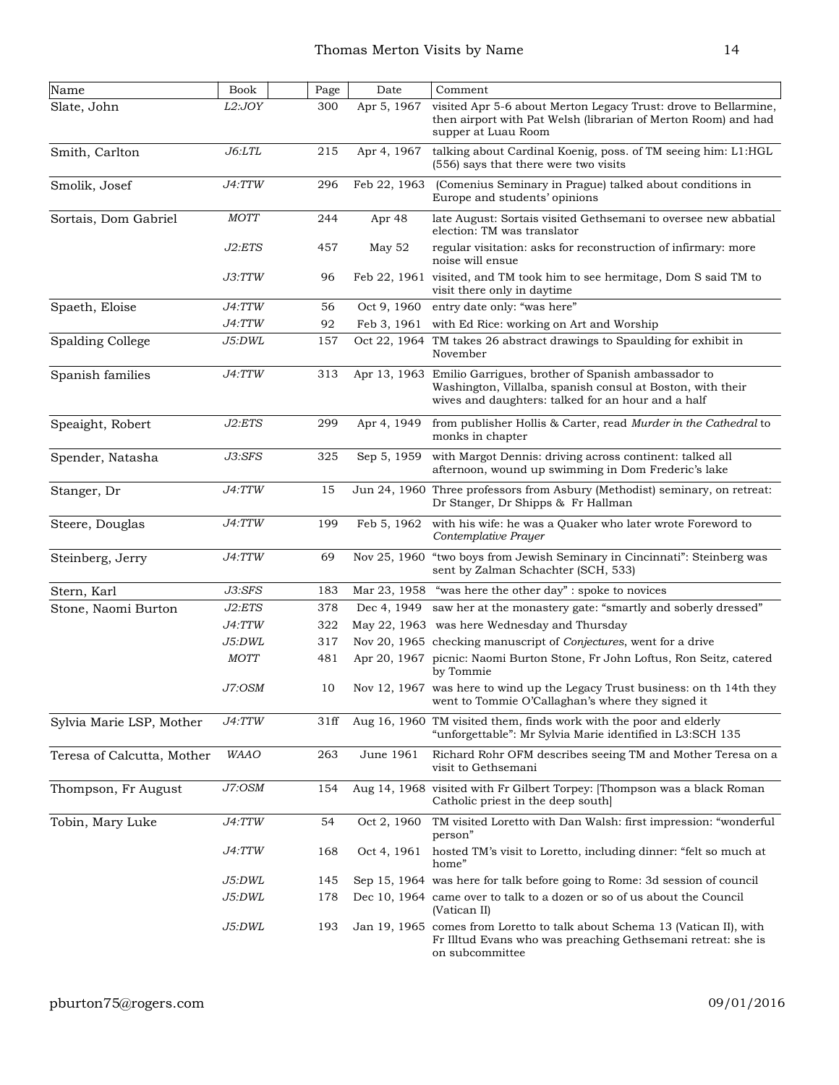| Name                       | Book        | $\operatorname{Page}$ | Date         | Comment                                                                                                                                                                |
|----------------------------|-------------|-----------------------|--------------|------------------------------------------------------------------------------------------------------------------------------------------------------------------------|
| Slate, John                | L2:JOY      | 300                   | Apr 5, 1967  | visited Apr 5-6 about Merton Legacy Trust: drove to Bellarmine,<br>then airport with Pat Welsh (librarian of Merton Room) and had<br>supper at Luau Room               |
| Smith, Carlton             | J6: LTL     | 215                   | Apr 4, 1967  | talking about Cardinal Koenig, poss. of TM seeing him: L1:HGL<br>(556) says that there were two visits                                                                 |
| Smolik, Josef              | J4:TTW      | 296                   | Feb 22, 1963 | (Comenius Seminary in Prague) talked about conditions in<br>Europe and students' opinions                                                                              |
| Sortais, Dom Gabriel       | <b>MOTT</b> | 244                   | Apr 48       | late August: Sortais visited Gethsemani to oversee new abbatial<br>election: TM was translator                                                                         |
|                            | J2:ETS      | 457                   | May $52$     | regular visitation: asks for reconstruction of infirmary: more<br>noise will ensue                                                                                     |
|                            | J3:TTW      | 96                    |              | Feb 22, 1961 visited, and TM took him to see hermitage, Dom S said TM to<br>visit there only in daytime                                                                |
| Spaeth, Eloise             | J4:TTW      | 56                    | Oct 9, 1960  | entry date only: "was here"                                                                                                                                            |
|                            | J4:TTW      | 92                    | Feb 3, 1961  | with Ed Rice: working on Art and Worship                                                                                                                               |
| <b>Spalding College</b>    | J5:DWL      | 157                   | Oct 22, 1964 | TM takes 26 abstract drawings to Spaulding for exhibit in<br>November                                                                                                  |
| Spanish families           | J4:TTW      | 313                   | Apr 13, 1963 | Emilio Garrigues, brother of Spanish ambassador to<br>Washington, Villalba, spanish consul at Boston, with their<br>wives and daughters: talked for an hour and a half |
| Speaight, Robert           | J2:ETS      | 299                   | Apr 4, 1949  | from publisher Hollis & Carter, read Murder in the Cathedral to<br>monks in chapter                                                                                    |
| Spender, Natasha           | J3:SFS      | 325                   | Sep 5, 1959  | with Margot Dennis: driving across continent: talked all<br>afternoon, wound up swimming in Dom Frederic's lake                                                        |
| Stanger, Dr                | J4:TTW      | 15                    |              | Jun 24, 1960 Three professors from Asbury (Methodist) seminary, on retreat:<br>Dr Stanger, Dr Shipps & Fr Hallman                                                      |
| Steere, Douglas            | J4:TTW      | 199                   | Feb 5, 1962  | with his wife: he was a Quaker who later wrote Foreword to<br>Contemplative Prayer                                                                                     |
| Steinberg, Jerry           | J4:TTW      | 69                    |              | Nov 25, 1960 "two boys from Jewish Seminary in Cincinnati": Steinberg was<br>sent by Zalman Schachter (SCH, 533)                                                       |
| Stern, Karl                | J3:SFS      | 183                   |              | Mar 23, 1958 "was here the other day": spoke to novices                                                                                                                |
| Stone, Naomi Burton        | J2:ETS      | 378                   | Dec 4, 1949  | saw her at the monastery gate: "smartly and soberly dressed"                                                                                                           |
|                            | J4:TTW      | 322                   |              | May 22, 1963 was here Wednesday and Thursday                                                                                                                           |
|                            | J5:DWL      | 317                   |              | Nov 20, 1965 checking manuscript of Conjectures, went for a drive                                                                                                      |
|                            | <b>MOTT</b> | 481                   |              | Apr 20, 1967 picnic: Naomi Burton Stone, Fr John Loftus, Ron Seitz, catered<br>by Tommie                                                                               |
|                            | J7:OSM      | 10                    |              | Nov 12, 1967 was here to wind up the Legacy Trust business: on th 14th they<br>went to Tommie O'Callaghan's where they signed it                                       |
| Sylvia Marie LSP, Mother   | J4:TTW      | 31ff                  |              | Aug 16, 1960 TM visited them, finds work with the poor and elderly<br>"unforgettable": Mr Sylvia Marie identified in L3:SCH 135                                        |
| Teresa of Calcutta, Mother | <b>WAAO</b> | 263                   | June 1961    | Richard Rohr OFM describes seeing TM and Mother Teresa on a<br>visit to Gethsemani                                                                                     |
| Thompson, Fr August        | J7:OSM      | 154                   |              | Aug 14, 1968 visited with Fr Gilbert Torpey: [Thompson was a black Roman<br>Catholic priest in the deep south                                                          |
| Tobin, Mary Luke           | J4:TTW      | 54                    | Oct 2, 1960  | TM visited Loretto with Dan Walsh: first impression: "wonderful<br>person"                                                                                             |
|                            | J4:TTW      | 168                   | Oct 4, 1961  | hosted TM's visit to Loretto, including dinner: "felt so much at<br>home"                                                                                              |
|                            | J5:DWL      | 145                   |              | Sep 15, 1964 was here for talk before going to Rome: 3d session of council                                                                                             |
|                            | J5:DWL      | 178                   |              | Dec 10, 1964 came over to talk to a dozen or so of us about the Council<br>(Vatican II)                                                                                |
|                            | J5:DWL      | 193                   |              | Jan 19, 1965 comes from Loretto to talk about Schema 13 (Vatican II), with<br>Fr Illtud Evans who was preaching Gethsemani retreat: she is<br>on subcommittee          |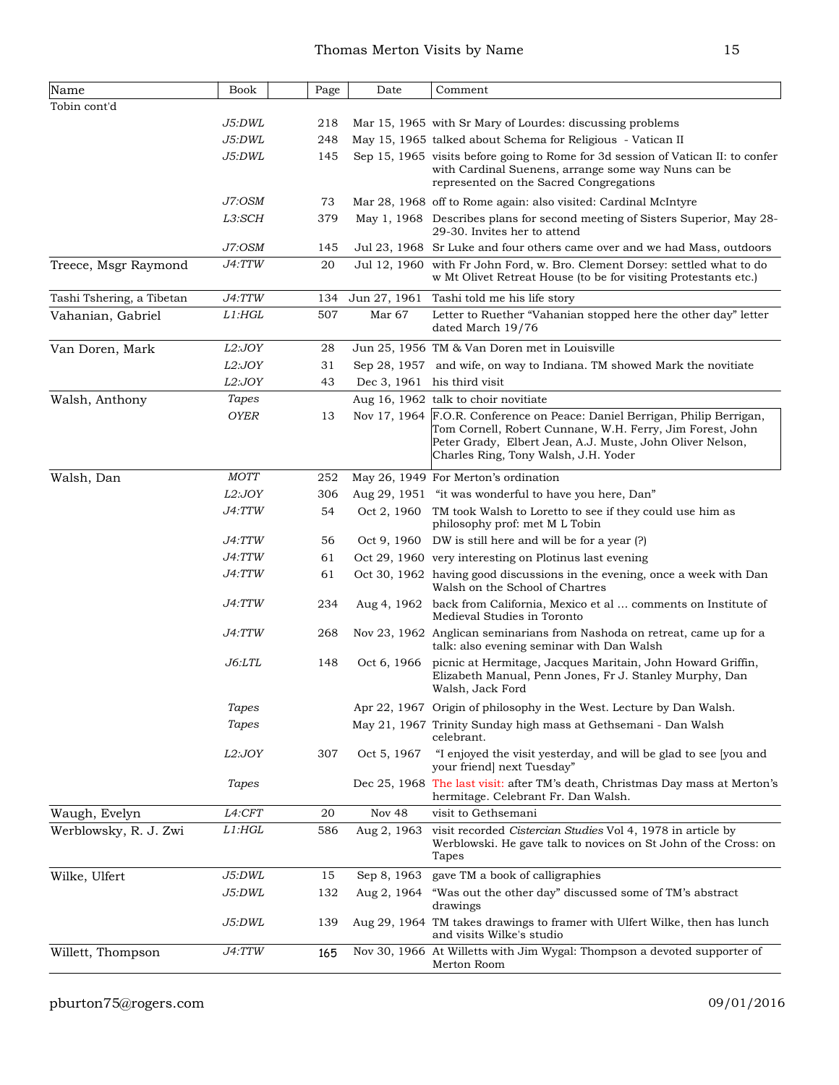| Name                      | <b>Book</b>   | Page | Date              | Comment                                                                                                                                                                                                                                      |
|---------------------------|---------------|------|-------------------|----------------------------------------------------------------------------------------------------------------------------------------------------------------------------------------------------------------------------------------------|
| Tobin cont'd              |               |      |                   |                                                                                                                                                                                                                                              |
|                           | J5:DWL        | 218  |                   | Mar 15, 1965 with Sr Mary of Lourdes: discussing problems                                                                                                                                                                                    |
|                           | J5:DWL        | 248  |                   | May 15, 1965 talked about Schema for Religious - Vatican II                                                                                                                                                                                  |
|                           | J5:DWL        | 145  |                   | Sep 15, 1965 visits before going to Rome for 3d session of Vatican II: to confer<br>with Cardinal Suenens, arrange some way Nuns can be<br>represented on the Sacred Congregations                                                           |
|                           | J7:OSM        | 73   |                   | Mar 28, 1968 off to Rome again: also visited: Cardinal McIntyre                                                                                                                                                                              |
|                           | L3:SCH        | 379  |                   | May 1, 1968 Describes plans for second meeting of Sisters Superior, May 28-<br>29-30. Invites her to attend                                                                                                                                  |
|                           | J7:OSM        | 145  |                   | Jul 23, 1968 Sr Luke and four others came over and we had Mass, outdoors                                                                                                                                                                     |
| Treece, Msgr Raymond      | J4:TTW        | 20   |                   | Jul 12, 1960 with Fr John Ford, w. Bro. Clement Dorsey: settled what to do<br>w Mt Olivet Retreat House (to be for visiting Protestants etc.)                                                                                                |
| Tashi Tshering, a Tibetan | J4:TTW        | 134  | Jun 27, 1961      | Tashi told me his life story                                                                                                                                                                                                                 |
| Vahanian, Gabriel         | $L1:$ HGL     | 507  | Mar <sub>67</sub> | Letter to Ruether "Vahanian stopped here the other day" letter<br>dated March 19/76                                                                                                                                                          |
| Van Doren, Mark           | L2:JOY        | 28   |                   | Jun 25, 1956 TM & Van Doren met in Louisville                                                                                                                                                                                                |
|                           | L2:JOY        | 31   |                   | Sep 28, 1957 and wife, on way to Indiana. TM showed Mark the novitiate                                                                                                                                                                       |
|                           | L2:JOY        | 43   |                   | Dec 3, 1961 his third visit                                                                                                                                                                                                                  |
| Walsh, Anthony            | <b>Tapes</b>  |      |                   | Aug 16, 1962 talk to choir novitiate                                                                                                                                                                                                         |
|                           | <b>OYER</b>   | 13   |                   | Nov 17, 1964 F.O.R. Conference on Peace: Daniel Berrigan, Philip Berrigan,<br>Tom Cornell, Robert Cunnane, W.H. Ferry, Jim Forest, John<br>Peter Grady, Elbert Jean, A.J. Muste, John Oliver Nelson,<br>Charles Ring, Tony Walsh, J.H. Yoder |
| Walsh, Dan                | <b>MOTT</b>   | 252  |                   | May 26, 1949 For Merton's ordination                                                                                                                                                                                                         |
|                           | L2:JOY        | 306  |                   | Aug 29, 1951 "it was wonderful to have you here, Dan"                                                                                                                                                                                        |
|                           | J4:TTW        | 54   |                   | Oct 2, 1960 TM took Walsh to Loretto to see if they could use him as<br>philosophy prof: met M L Tobin                                                                                                                                       |
|                           | J4:TTW        | 56   |                   | Oct 9, 1960 DW is still here and will be for a year (?)                                                                                                                                                                                      |
|                           | J4:TTW        | 61   |                   | Oct 29, 1960 very interesting on Plotinus last evening                                                                                                                                                                                       |
|                           | J4:TTW        | 61   |                   | Oct 30, 1962 having good discussions in the evening, once a week with Dan<br>Walsh on the School of Chartres                                                                                                                                 |
|                           | J4:TTW        | 234  |                   | Aug 4, 1962 back from California, Mexico et al  comments on Institute of<br>Medieval Studies in Toronto                                                                                                                                      |
|                           | <i>J4:TTW</i> | 268  |                   | Nov 23, 1962 Anglican seminarians from Nashoda on retreat, came up for a<br>talk: also evening seminar with Dan Walsh                                                                                                                        |
|                           | <i>J6:LTL</i> | 148  | Oct 6, 1966       | picnic at Hermitage, Jacques Maritain, John Howard Griffin,<br>Elizabeth Manual, Penn Jones, Fr J. Stanley Murphy, Dan<br>Walsh, Jack Ford                                                                                                   |
|                           | Tapes         |      |                   | Apr 22, 1967 Origin of philosophy in the West. Lecture by Dan Walsh.                                                                                                                                                                         |
|                           | Tapes         |      |                   | May 21, 1967 Trinity Sunday high mass at Gethsemani - Dan Walsh<br>celebrant.                                                                                                                                                                |
|                           | L2:JOY        | 307  | Oct 5, 1967       | "I enjoyed the visit yesterday, and will be glad to see [you and<br>your friend] next Tuesday"                                                                                                                                               |
|                           | Tapes         |      |                   | Dec 25, 1968 The last visit: after TM's death, Christmas Day mass at Merton's<br>hermitage. Celebrant Fr. Dan Walsh.                                                                                                                         |
| Waugh, Evelyn             | L4:CFT        | 20   | Nov 48            | visit to Gethsemani                                                                                                                                                                                                                          |
| Werblowsky, R. J. Zwi     | L1: HGL       | 586  | Aug 2, 1963       | visit recorded Cistercian Studies Vol 4, 1978 in article by<br>Werblowski. He gave talk to novices on St John of the Cross: on<br>Tapes                                                                                                      |
| Wilke, Ulfert             | J5:DWL        | 15   | Sep 8, 1963       | gave TM a book of calligraphies                                                                                                                                                                                                              |
|                           | J5:DWL        | 132  | Aug 2, 1964       | "Was out the other day" discussed some of TM's abstract<br>drawings                                                                                                                                                                          |
|                           | J5:DWL        | 139  |                   | Aug 29, 1964 TM takes drawings to framer with Ulfert Wilke, then has lunch<br>and visits Wilke's studio                                                                                                                                      |
| Willett, Thompson         | J4:TTW        | 165  |                   | Nov 30, 1966 At Willetts with Jim Wygal: Thompson a devoted supporter of<br>Merton Room                                                                                                                                                      |